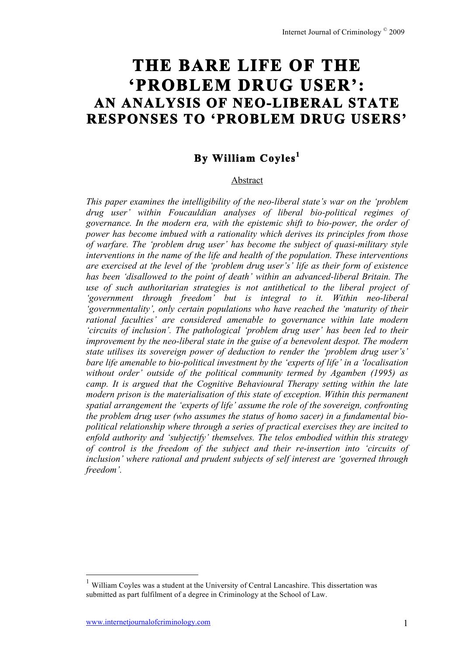# **THE BARE LIFE OF THE 'PROBLEM DRUG USER': AN ANALYSIS OF NEO-LIBERAL STATE RESPONSES TO 'PROBLEM DRUG USERS'**

# **By William Coyles<sup>1</sup>**

#### Abstract

*This paper examines the intelligibility of the neo-liberal state's war on the 'problem drug user' within Foucauldian analyses of liberal bio-political regimes of governance. In the modern era, with the epistemic shift to bio-power, the order of power has become imbued with a rationality which derives its principles from those of warfare. The 'problem drug user' has become the subject of quasi-military style interventions in the name of the life and health of the population. These interventions are exercised at the level of the 'problem drug user's' life as their form of existence has been 'disallowed to the point of death' within an advanced-liberal Britain. The use of such authoritarian strategies is not antithetical to the liberal project of 'government through freedom' but is integral to it. Within neo-liberal 'governmentality', only certain populations who have reached the 'maturity of their rational faculties' are considered amenable to governance within late modern 'circuits of inclusion'. The pathological 'problem drug user' has been led to their improvement by the neo-liberal state in the guise of a benevolent despot. The modern state utilises its sovereign power of deduction to render the 'problem drug user's' bare life amenable to bio-political investment by the 'experts of life' in a 'localisation without order' outside of the political community termed by Agamben (1995) as camp. It is argued that the Cognitive Behavioural Therapy setting within the late modern prison is the materialisation of this state of exception. Within this permanent spatial arrangement the 'experts of life' assume the role of the sovereign, confronting the problem drug user (who assumes the status of homo sacer) in a fundamental biopolitical relationship where through a series of practical exercises they are incited to enfold authority and 'subjectify' themselves. The telos embodied within this strategy of control is the freedom of the subject and their re-insertion into 'circuits of inclusion' where rational and prudent subjects of self interest are 'governed through freedom'.* 

 <sup>1</sup> William Coyles was a student at the University of Central Lancashire. This dissertation was submitted as part fulfilment of a degree in Criminology at the School of Law.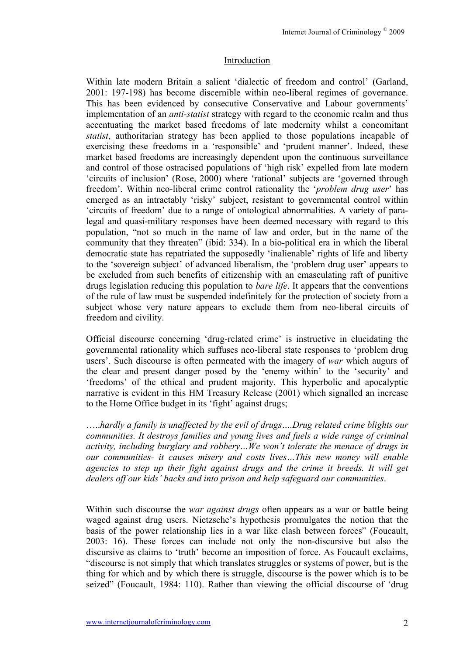#### **Introduction**

Within late modern Britain a salient 'dialectic of freedom and control' (Garland, 2001: 197-198) has become discernible within neo-liberal regimes of governance. This has been evidenced by consecutive Conservative and Labour governments' implementation of an *anti-statist* strategy with regard to the economic realm and thus accentuating the market based freedoms of late modernity whilst a concomitant *statist*, authoritarian strategy has been applied to those populations incapable of exercising these freedoms in a 'responsible' and 'prudent manner'. Indeed, these market based freedoms are increasingly dependent upon the continuous surveillance and control of those ostracised populations of 'high risk' expelled from late modern 'circuits of inclusion' (Rose, 2000) where 'rational' subjects are 'governed through freedom'. Within neo-liberal crime control rationality the '*problem drug user*' has emerged as an intractably 'risky' subject, resistant to governmental control within 'circuits of freedom' due to a range of ontological abnormalities. A variety of paralegal and quasi-military responses have been deemed necessary with regard to this population, "not so much in the name of law and order, but in the name of the community that they threaten" (ibid: 334). In a bio-political era in which the liberal democratic state has repatriated the supposedly 'inalienable' rights of life and liberty to the 'sovereign subject' of advanced liberalism, the 'problem drug user' appears to be excluded from such benefits of citizenship with an emasculating raft of punitive drugs legislation reducing this population to *bare life*. It appears that the conventions of the rule of law must be suspended indefinitely for the protection of society from a subject whose very nature appears to exclude them from neo-liberal circuits of freedom and civility.

Official discourse concerning 'drug-related crime' is instructive in elucidating the governmental rationality which suffuses neo-liberal state responses to 'problem drug users'. Such discourse is often permeated with the imagery of *war* which augurs of the clear and present danger posed by the 'enemy within' to the 'security' and 'freedoms' of the ethical and prudent majority. This hyperbolic and apocalyptic narrative is evident in this HM Treasury Release (2001) which signalled an increase to the Home Office budget in its 'fight' against drugs;

…..*hardly a family is unaffected by the evil of drugs….Drug related crime blights our communities. It destroys families and young lives and fuels a wide range of criminal activity, including burglary and robbery…We won't tolerate the menace of drugs in our communities- it causes misery and costs lives…This new money will enable agencies to step up their fight against drugs and the crime it breeds. It will get dealers off our kids' backs and into prison and help safeguard our communities*.

Within such discourse the *war against drugs* often appears as a war or battle being waged against drug users. Nietzsche's hypothesis promulgates the notion that the basis of the power relationship lies in a war like clash between forces" (Foucault, 2003: 16). These forces can include not only the non-discursive but also the discursive as claims to 'truth' become an imposition of force. As Foucault exclaims, "discourse is not simply that which translates struggles or systems of power, but is the thing for which and by which there is struggle, discourse is the power which is to be seized" (Foucault, 1984: 110). Rather than viewing the official discourse of 'drug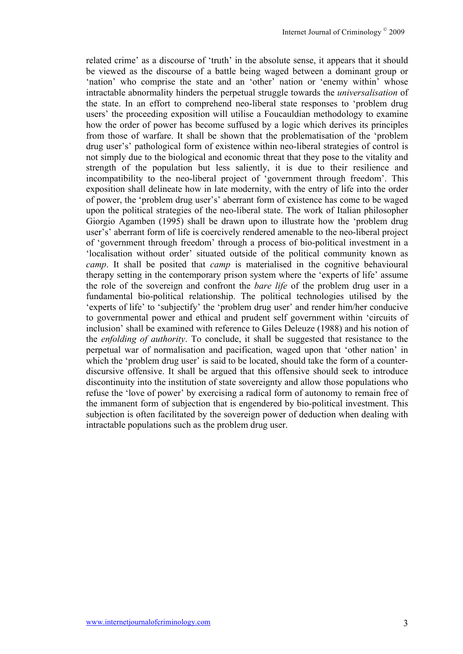related crime' as a discourse of 'truth' in the absolute sense, it appears that it should be viewed as the discourse of a battle being waged between a dominant group or 'nation' who comprise the state and an 'other' nation or 'enemy within' whose intractable abnormality hinders the perpetual struggle towards the *universalisation* of the state. In an effort to comprehend neo-liberal state responses to 'problem drug users' the proceeding exposition will utilise a Foucauldian methodology to examine how the order of power has become suffused by a logic which derives its principles from those of warfare. It shall be shown that the problematisation of the 'problem drug user's' pathological form of existence within neo-liberal strategies of control is not simply due to the biological and economic threat that they pose to the vitality and strength of the population but less saliently, it is due to their resilience and incompatibility to the neo-liberal project of 'government through freedom'. This exposition shall delineate how in late modernity, with the entry of life into the order of power, the 'problem drug user's' aberrant form of existence has come to be waged upon the political strategies of the neo-liberal state. The work of Italian philosopher Giorgio Agamben (1995) shall be drawn upon to illustrate how the 'problem drug user's' aberrant form of life is coercively rendered amenable to the neo-liberal project of 'government through freedom' through a process of bio-political investment in a 'localisation without order' situated outside of the political community known as *camp*. It shall be posited that *camp* is materialised in the cognitive behavioural therapy setting in the contemporary prison system where the 'experts of life' assume the role of the sovereign and confront the *bare life* of the problem drug user in a fundamental bio-political relationship. The political technologies utilised by the 'experts of life' to 'subjectify' the 'problem drug user' and render him/her conducive to governmental power and ethical and prudent self government within 'circuits of inclusion' shall be examined with reference to Giles Deleuze (1988) and his notion of the *enfolding of authority*. To conclude, it shall be suggested that resistance to the perpetual war of normalisation and pacification, waged upon that 'other nation' in which the 'problem drug user' is said to be located, should take the form of a counterdiscursive offensive. It shall be argued that this offensive should seek to introduce discontinuity into the institution of state sovereignty and allow those populations who refuse the 'love of power' by exercising a radical form of autonomy to remain free of the immanent form of subjection that is engendered by bio-political investment. This subjection is often facilitated by the sovereign power of deduction when dealing with intractable populations such as the problem drug user.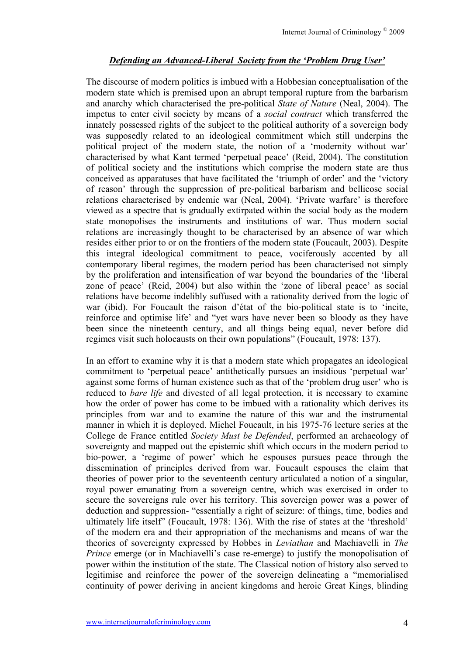## *Defending an Advanced-Liberal Society from the 'Problem Drug User'*

The discourse of modern politics is imbued with a Hobbesian conceptualisation of the modern state which is premised upon an abrupt temporal rupture from the barbarism and anarchy which characterised the pre-political *State of Nature* (Neal, 2004). The impetus to enter civil society by means of a *social contract* which transferred the innately possessed rights of the subject to the political authority of a sovereign body was supposedly related to an ideological commitment which still underpins the political project of the modern state, the notion of a 'modernity without war' characterised by what Kant termed 'perpetual peace' (Reid, 2004). The constitution of political society and the institutions which comprise the modern state are thus conceived as apparatuses that have facilitated the 'triumph of order' and the 'victory of reason' through the suppression of pre-political barbarism and bellicose social relations characterised by endemic war (Neal, 2004). 'Private warfare' is therefore viewed as a spectre that is gradually extirpated within the social body as the modern state monopolises the instruments and institutions of war. Thus modern social relations are increasingly thought to be characterised by an absence of war which resides either prior to or on the frontiers of the modern state (Foucault, 2003). Despite this integral ideological commitment to peace, vociferously accented by all contemporary liberal regimes, the modern period has been characterised not simply by the proliferation and intensification of war beyond the boundaries of the 'liberal zone of peace' (Reid, 2004) but also within the 'zone of liberal peace' as social relations have become indelibly suffused with a rationality derived from the logic of war (ibid). For Foucault the raison d'état of the bio-political state is to 'incite, reinforce and optimise life' and "yet wars have never been so bloody as they have been since the nineteenth century, and all things being equal, never before did regimes visit such holocausts on their own populations" (Foucault, 1978: 137).

In an effort to examine why it is that a modern state which propagates an ideological commitment to 'perpetual peace' antithetically pursues an insidious 'perpetual war' against some forms of human existence such as that of the 'problem drug user' who is reduced to *bare life* and divested of all legal protection, it is necessary to examine how the order of power has come to be imbued with a rationality which derives its principles from war and to examine the nature of this war and the instrumental manner in which it is deployed. Michel Foucault, in his 1975-76 lecture series at the College de France entitled *Society Must be Defended*, performed an archaeology of sovereignty and mapped out the epistemic shift which occurs in the modern period to bio-power, a 'regime of power' which he espouses pursues peace through the dissemination of principles derived from war. Foucault espouses the claim that theories of power prior to the seventeenth century articulated a notion of a singular, royal power emanating from a sovereign centre, which was exercised in order to secure the sovereigns rule over his territory. This sovereign power was a power of deduction and suppression- "essentially a right of seizure: of things, time, bodies and ultimately life itself" (Foucault, 1978: 136). With the rise of states at the 'threshold' of the modern era and their appropriation of the mechanisms and means of war the theories of sovereignty expressed by Hobbes in *Leviathan* and Machiavelli in *The Prince* emerge (or in Machiavelli's case re-emerge) to justify the monopolisation of power within the institution of the state. The Classical notion of history also served to legitimise and reinforce the power of the sovereign delineating a "memorialised continuity of power deriving in ancient kingdoms and heroic Great Kings, blinding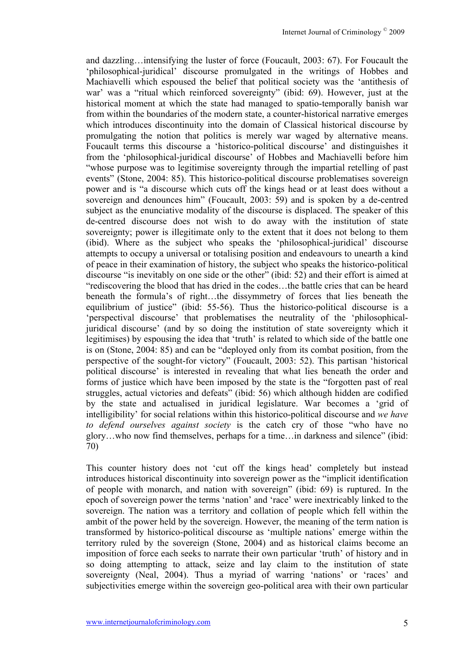and dazzling…intensifying the luster of force (Foucault, 2003: 67). For Foucault the 'philosophical-juridical' discourse promulgated in the writings of Hobbes and Machiavelli which espoused the belief that political society was the 'antithesis of war' was a "ritual which reinforced sovereignty" (ibid: 69). However, just at the historical moment at which the state had managed to spatio-temporally banish war from within the boundaries of the modern state, a counter-historical narrative emerges which introduces discontinuity into the domain of Classical historical discourse by promulgating the notion that politics is merely war waged by alternative means. Foucault terms this discourse a 'historico-political discourse' and distinguishes it from the 'philosophical-juridical discourse' of Hobbes and Machiavelli before him "whose purpose was to legitimise sovereignty through the impartial retelling of past events" (Stone, 2004: 85). This historico-political discourse problematises sovereign power and is "a discourse which cuts off the kings head or at least does without a sovereign and denounces him" (Foucault, 2003: 59) and is spoken by a de-centred subject as the enunciative modality of the discourse is displaced. The speaker of this de-centred discourse does not wish to do away with the institution of state sovereignty; power is illegitimate only to the extent that it does not belong to them (ibid). Where as the subject who speaks the 'philosophical-juridical' discourse attempts to occupy a universal or totalising position and endeavours to unearth a kind of peace in their examination of history, the subject who speaks the historico-political discourse "is inevitably on one side or the other" (ibid: 52) and their effort is aimed at "rediscovering the blood that has dried in the codes…the battle cries that can be heard beneath the formula's of right…the dissymmetry of forces that lies beneath the equilibrium of justice" (ibid: 55-56). Thus the historico-political discourse is a 'perspectival discourse' that problematises the neutrality of the 'philosophicaljuridical discourse' (and by so doing the institution of state sovereignty which it legitimises) by espousing the idea that 'truth' is related to which side of the battle one is on (Stone, 2004: 85) and can be "deployed only from its combat position, from the perspective of the sought-for victory" (Foucault, 2003: 52). This partisan 'historical political discourse' is interested in revealing that what lies beneath the order and forms of justice which have been imposed by the state is the "forgotten past of real struggles, actual victories and defeats" (ibid: 56) which although hidden are codified by the state and actualised in juridical legislature. War becomes a 'grid of intelligibility' for social relations within this historico-political discourse and *we have to defend ourselves against society* is the catch cry of those "who have no glory…who now find themselves, perhaps for a time…in darkness and silence" (ibid: 70)

This counter history does not 'cut off the kings head' completely but instead introduces historical discontinuity into sovereign power as the "implicit identification of people with monarch, and nation with sovereign" (ibid: 69) is ruptured. In the epoch of sovereign power the terms 'nation' and 'race' were inextricably linked to the sovereign. The nation was a territory and collation of people which fell within the ambit of the power held by the sovereign. However, the meaning of the term nation is transformed by historico-political discourse as 'multiple nations' emerge within the territory ruled by the sovereign (Stone, 2004) and as historical claims become an imposition of force each seeks to narrate their own particular 'truth' of history and in so doing attempting to attack, seize and lay claim to the institution of state sovereignty (Neal, 2004). Thus a myriad of warring 'nations' or 'races' and subjectivities emerge within the sovereign geo-political area with their own particular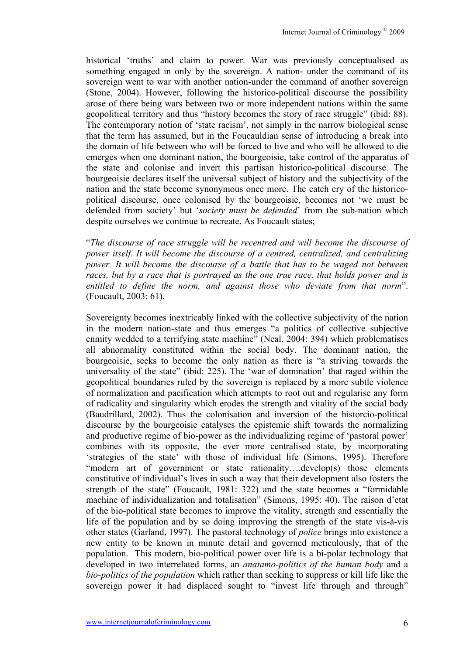historical 'truths' and claim to power. War was previously conceptualised as something engaged in only by the sovereign. A nation- under the command of its sovereign went to war with another nation-under the command of another sovereign (Stone, 2004). However, following the historico-political discourse the possibility arose of there being wars between two or more independent nations within the same geopolitical territory and thus "history becomes the story of race struggle" (ibid: 88). The contemporary notion of 'state racism', not simply in the narrow biological sense that the term has assumed, but in the Foucauldian sense of introducing a break into the domain of life between who will be forced to live and who will be allowed to die emerges when one dominant nation, the bourgeoisie, take control of the apparatus of the state and colonise and invert this partisan historico-political discourse. The bourgeoisie declares itself the universal subject of history and the subjectivity of the nation and the state become synonymous once more. The catch cry of the historicopolitical discourse, once colonised by the bourgeoisie, becomes not 'we must be defended from society' but '*society must be defended*' from the sub-nation which despite ourselves we continue to recreate. As Foucault states;

"*The discourse of race struggle will be recentred and will become the discourse of power itself. It will become the discourse of a centred, centralized, and centralizing power. It will become the discourse of a battle that has to be waged not between races, but by a race that is portrayed as the one true race, that holds power and is entitled to define the norm, and against those who deviate from that norm*". (Foucault, 2003: 61).

Sovereignty becomes inextricably linked with the collective subjectivity of the nation in the modern nation-state and thus emerges "a politics of collective subjective enmity wedded to a terrifying state machine" (Neal, 2004: 394) which problematises all abnormality constituted within the social body. The dominant nation, the bourgeoisie, seeks to become the only nation as there is "a striving towards the universality of the state" (ibid: 225). The 'war of domination' that raged within the geopolitical boundaries ruled by the sovereign is replaced by a more subtle violence of normalization and pacification which attempts to root out and regularise any form of radicality and singularity which erodes the strength and vitality of the social body (Baudrillard, 2002). Thus the colonisation and inversion of the historcio-political discourse by the bourgeoisie catalyses the epistemic shift towards the normalizing and productive regime of bio-power as the individualizing regime of 'pastoral power' combines with its opposite, the ever more centralised state, by incorporating 'strategies of the state' with those of individual life (Simons, 1995). Therefore "modern art of government or state rationality….develop(s) those elements constitutive of individual's lives in such a way that their development also fosters the strength of the state" (Foucault, 1981: 322) and the state becomes a "formidable machine of individualization and totalisation" (Simons, 1995: 40). The raison d'etat of the bio-political state becomes to improve the vitality, strength and essentially the life of the population and by so doing improving the strength of the state vis-à-vis other states (Garland, 1997). The pastoral technology of *police* brings into existence a new entity to be known in minute detail and governed meticulously, that of the population. This modern, bio-political power over life is a bi-polar technology that developed in two interrelated forms, an *anatamo-politics of the human body* and a *bio-politics of the population* which rather than seeking to suppress or kill life like the sovereign power it had displaced sought to "invest life through and through"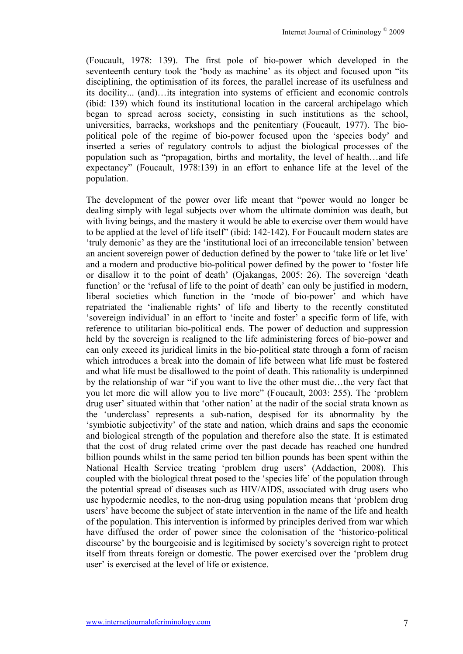(Foucault, 1978: 139). The first pole of bio-power which developed in the seventeenth century took the 'body as machine' as its object and focused upon "its disciplining, the optimisation of its forces, the parallel increase of its usefulness and its docility... (and)…its integration into systems of efficient and economic controls (ibid: 139) which found its institutional location in the carceral archipelago which began to spread across society, consisting in such institutions as the school, universities, barracks, workshops and the penitentiary (Foucault, 1977). The biopolitical pole of the regime of bio-power focused upon the 'species body' and inserted a series of regulatory controls to adjust the biological processes of the population such as "propagation, births and mortality, the level of health…and life expectancy" (Foucault, 1978:139) in an effort to enhance life at the level of the population.

The development of the power over life meant that "power would no longer be dealing simply with legal subjects over whom the ultimate dominion was death, but with living beings, and the mastery it would be able to exercise over them would have to be applied at the level of life itself" (ibid: 142-142). For Foucault modern states are 'truly demonic' as they are the 'institutional loci of an irreconcilable tension' between an ancient sovereign power of deduction defined by the power to 'take life or let live' and a modern and productive bio-political power defined by the power to 'foster life or disallow it to the point of death' (Ojakangas, 2005: 26). The sovereign 'death function' or the 'refusal of life to the point of death' can only be justified in modern. liberal societies which function in the 'mode of bio-power' and which have repatriated the 'inalienable rights' of life and liberty to the recently constituted 'sovereign individual' in an effort to 'incite and foster' a specific form of life, with reference to utilitarian bio-political ends. The power of deduction and suppression held by the sovereign is realigned to the life administering forces of bio-power and can only exceed its juridical limits in the bio-political state through a form of racism which introduces a break into the domain of life between what life must be fostered and what life must be disallowed to the point of death. This rationality is underpinned by the relationship of war "if you want to live the other must die…the very fact that you let more die will allow you to live more" (Foucault, 2003: 255). The 'problem drug user' situated within that 'other nation' at the nadir of the social strata known as the 'underclass' represents a sub-nation, despised for its abnormality by the 'symbiotic subjectivity' of the state and nation, which drains and saps the economic and biological strength of the population and therefore also the state. It is estimated that the cost of drug related crime over the past decade has reached one hundred billion pounds whilst in the same period ten billion pounds has been spent within the National Health Service treating 'problem drug users' (Addaction, 2008). This coupled with the biological threat posed to the 'species life' of the population through the potential spread of diseases such as HIV/AIDS, associated with drug users who use hypodermic needles, to the non-drug using population means that 'problem drug users' have become the subject of state intervention in the name of the life and health of the population. This intervention is informed by principles derived from war which have diffused the order of power since the colonisation of the 'historico-political discourse' by the bourgeoisie and is legitimised by society's sovereign right to protect itself from threats foreign or domestic. The power exercised over the 'problem drug user' is exercised at the level of life or existence.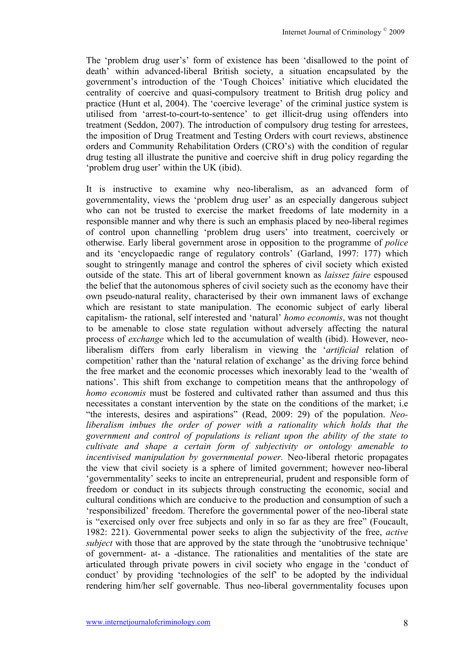The 'problem drug user's' form of existence has been 'disallowed to the point of death' within advanced-liberal British society, a situation encapsulated by the government's introduction of the 'Tough Choices' initiative which elucidated the centrality of coercive and quasi-compulsory treatment to British drug policy and practice (Hunt et al, 2004). The 'coercive leverage' of the criminal justice system is utilised from 'arrest-to-court-to-sentence' to get illicit-drug using offenders into treatment (Seddon, 2007). The introduction of compulsory drug testing for arrestees, the imposition of Drug Treatment and Testing Orders with court reviews, abstinence orders and Community Rehabilitation Orders (CRO's) with the condition of regular drug testing all illustrate the punitive and coercive shift in drug policy regarding the 'problem drug user' within the UK (ibid).

It is instructive to examine why neo-liberalism, as an advanced form of governmentality, views the 'problem drug user' as an especially dangerous subject who can not be trusted to exercise the market freedoms of late modernity in a responsible manner and why there is such an emphasis placed by neo-liberal regimes of control upon channelling 'problem drug users' into treatment, coercively or otherwise. Early liberal government arose in opposition to the programme of *police* and its 'encyclopaedic range of regulatory controls' (Garland, 1997: 177) which sought to stringently manage and control the spheres of civil society which existed outside of the state. This art of liberal government known as *laissez faire* espoused the belief that the autonomous spheres of civil society such as the economy have their own pseudo-natural reality, characterised by their own immanent laws of exchange which are resistant to state manipulation. The economic subject of early liberal capitalism- the rational, self interested and 'natural' *homo economis*, was not thought to be amenable to close state regulation without adversely affecting the natural process of *exchange* which led to the accumulation of wealth (ibid). However, neoliberalism differs from early liberalism in viewing the '*artificial* relation of competition' rather than the 'natural relation of exchange' as the driving force behind the free market and the economic processes which inexorably lead to the 'wealth of nations'. This shift from exchange to competition means that the anthropology of *homo economis* must be fostered and cultivated rather than assumed and thus this necessitates a constant intervention by the state on the conditions of the market; i.e "the interests, desires and aspirations" (Read, 2009: 29) of the population. *Neoliberalism imbues the order of power with a rationality which holds that the government and control of populations is reliant upon the ability of the state to cultivate and shape a certain form of subjectivity or ontology amenable to incentivised manipulation by governmental power.* Neo-liberal rhetoric propagates the view that civil society is a sphere of limited government; however neo-liberal 'governmentality' seeks to incite an entrepreneurial, prudent and responsible form of freedom or conduct in its subjects through constructing the economic, social and cultural conditions which are conducive to the production and consumption of such a 'responsibilized' freedom. Therefore the governmental power of the neo-liberal state is "exercised only over free subjects and only in so far as they are free" (Foucault, 1982: 221). Governmental power seeks to align the subjectivity of the free, *active subject* with those that are approved by the state through the 'unobtrusive technique' of government- at- a -distance. The rationalities and mentalities of the state are articulated through private powers in civil society who engage in the 'conduct of conduct' by providing 'technologies of the self' to be adopted by the individual rendering him/her self governable. Thus neo-liberal governmentality focuses upon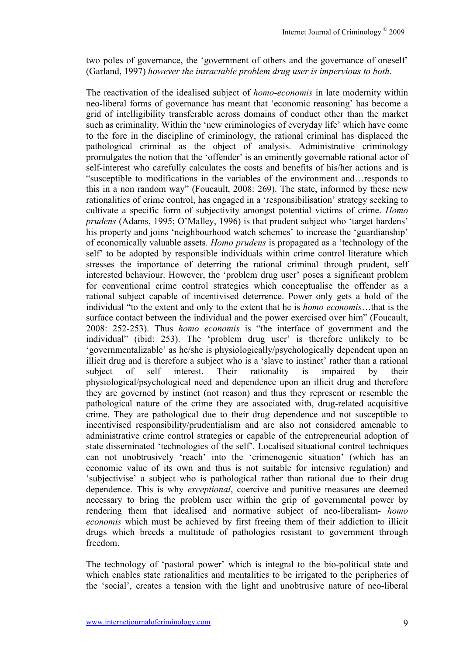two poles of governance, the 'government of others and the governance of oneself' (Garland, 1997) *however the intractable problem drug user is impervious to both*.

The reactivation of the idealised subject of *homo-economis* in late modernity within neo-liberal forms of governance has meant that 'economic reasoning' has become a grid of intelligibility transferable across domains of conduct other than the market such as criminality. Within the 'new criminologies of everyday life' which have come to the fore in the discipline of criminology, the rational criminal has displaced the pathological criminal as the object of analysis. Administrative criminology promulgates the notion that the 'offender' is an eminently governable rational actor of self-interest who carefully calculates the costs and benefits of his/her actions and is "susceptible to modifications in the variables of the environment and…responds to this in a non random way" (Foucault, 2008: 269). The state, informed by these new rationalities of crime control, has engaged in a 'responsibilisation' strategy seeking to cultivate a specific form of subjectivity amongst potential victims of crime. *Homo prudens* (Adams, 1995; O'Malley, 1996) is that prudent subject who 'target hardens' his property and joins 'neighbourhood watch schemes' to increase the 'guardianship' of economically valuable assets. *Homo prudens* is propagated as a 'technology of the self' to be adopted by responsible individuals within crime control literature which stresses the importance of deterring the rational criminal through prudent, self interested behaviour. However, the 'problem drug user' poses a significant problem for conventional crime control strategies which conceptualise the offender as a rational subject capable of incentivised deterrence. Power only gets a hold of the individual "to the extent and only to the extent that he is *homo economis*…that is the surface contact between the individual and the power exercised over him" (Foucault, 2008: 252-253). Thus *homo economis* is "the interface of government and the individual" (ibid: 253). The 'problem drug user' is therefore unlikely to be 'governmentalizable' as he/she is physiologically/psychologically dependent upon an illicit drug and is therefore a subject who is a 'slave to instinct' rather than a rational subject of self interest. Their rationality is impaired by their physiological/psychological need and dependence upon an illicit drug and therefore they are governed by instinct (not reason) and thus they represent or resemble the pathological nature of the crime they are associated with, drug-related acquisitive crime. They are pathological due to their drug dependence and not susceptible to incentivised responsibility/prudentialism and are also not considered amenable to administrative crime control strategies or capable of the entrepreneurial adoption of state disseminated 'technologies of the self'. Localised situational control techniques can not unobtrusively 'reach' into the 'crimenogenic situation' (which has an economic value of its own and thus is not suitable for intensive regulation) and 'subjectivise' a subject who is pathological rather than rational due to their drug dependence. This is why *exceptional*, coercive and punitive measures are deemed necessary to bring the problem user within the grip of governmental power by rendering them that idealised and normative subject of neo-liberalism- *homo economis* which must be achieved by first freeing them of their addiction to illicit drugs which breeds a multitude of pathologies resistant to government through freedom.

The technology of 'pastoral power' which is integral to the bio-political state and which enables state rationalities and mentalities to be irrigated to the peripheries of the 'social', creates a tension with the light and unobtrusive nature of neo-liberal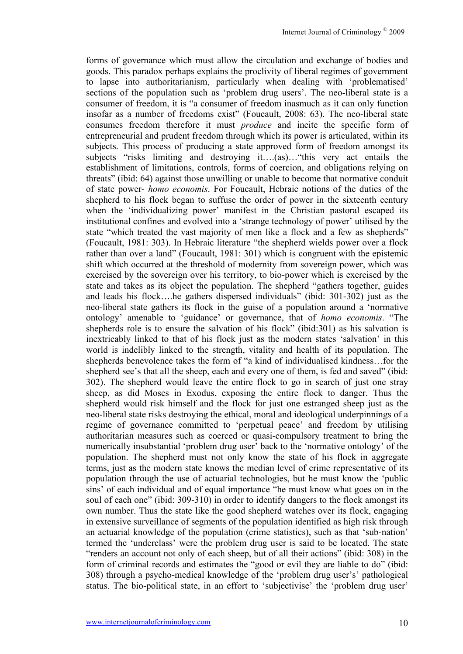forms of governance which must allow the circulation and exchange of bodies and goods. This paradox perhaps explains the proclivity of liberal regimes of government to lapse into authoritarianism, particularly when dealing with 'problematised' sections of the population such as 'problem drug users'. The neo-liberal state is a consumer of freedom, it is "a consumer of freedom inasmuch as it can only function insofar as a number of freedoms exist" (Foucault, 2008: 63). The neo-liberal state consumes freedom therefore it must *produce* and incite the specific form of entrepreneurial and prudent freedom through which its power is articulated, within its subjects. This process of producing a state approved form of freedom amongst its subjects "risks limiting and destroying it….(as)…"this very act entails the establishment of limitations, controls, forms of coercion, and obligations relying on threats" (ibid: 64) against those unwilling or unable to become that normative conduit of state power- *homo economis*. For Foucault, Hebraic notions of the duties of the shepherd to his flock began to suffuse the order of power in the sixteenth century when the 'individualizing power' manifest in the Christian pastoral escaped its institutional confines and evolved into a 'strange technology of power' utilised by the state "which treated the vast majority of men like a flock and a few as shepherds" (Foucault, 1981: 303). In Hebraic literature "the shepherd wields power over a flock rather than over a land" (Foucault, 1981: 301) which is congruent with the epistemic shift which occurred at the threshold of modernity from sovereign power, which was exercised by the sovereign over his territory, to bio-power which is exercised by the state and takes as its object the population. The shepherd "gathers together, guides and leads his flock….he gathers dispersed individuals" (ibid: 301-302) just as the neo-liberal state gathers its flock in the guise of a population around a 'normative ontology' amenable to 'guidance' or governance, that of *homo economis*. "The shepherds role is to ensure the salvation of his flock" (ibid:301) as his salvation is inextricably linked to that of his flock just as the modern states 'salvation' in this world is indelibly linked to the strength, vitality and health of its population. The shepherds benevolence takes the form of "a kind of individualised kindness…for the shepherd see's that all the sheep, each and every one of them, is fed and saved" (ibid: 302). The shepherd would leave the entire flock to go in search of just one stray sheep, as did Moses in Exodus, exposing the entire flock to danger. Thus the shepherd would risk himself and the flock for just one estranged sheep just as the neo-liberal state risks destroying the ethical, moral and ideological underpinnings of a regime of governance committed to 'perpetual peace' and freedom by utilising authoritarian measures such as coerced or quasi-compulsory treatment to bring the numerically insubstantial 'problem drug user' back to the 'normative ontology' of the population. The shepherd must not only know the state of his flock in aggregate terms, just as the modern state knows the median level of crime representative of its population through the use of actuarial technologies, but he must know the 'public sins' of each individual and of equal importance "he must know what goes on in the soul of each one" (ibid: 309-310) in order to identify dangers to the flock amongst its own number. Thus the state like the good shepherd watches over its flock, engaging in extensive surveillance of segments of the population identified as high risk through an actuarial knowledge of the population (crime statistics), such as that 'sub-nation' termed the 'underclass' were the problem drug user is said to be located. The state "renders an account not only of each sheep, but of all their actions" (ibid: 308) in the form of criminal records and estimates the "good or evil they are liable to do" (ibid: 308) through a psycho-medical knowledge of the 'problem drug user's' pathological status. The bio-political state, in an effort to 'subjectivise' the 'problem drug user'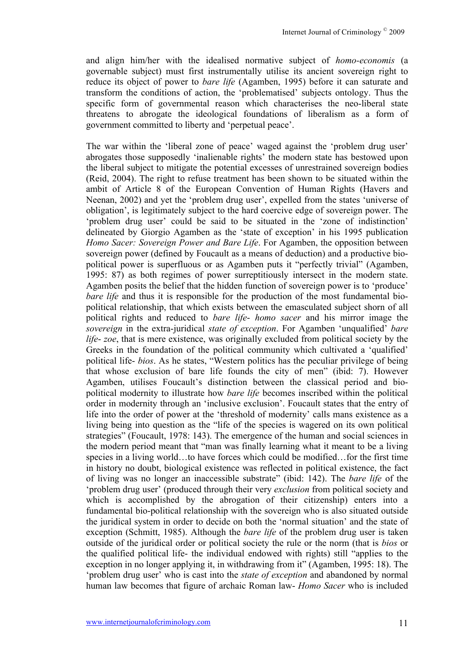and align him/her with the idealised normative subject of *homo-economis* (a governable subject) must first instrumentally utilise its ancient sovereign right to reduce its object of power to *bare life* (Agamben, 1995) before it can saturate and transform the conditions of action, the 'problematised' subjects ontology. Thus the specific form of governmental reason which characterises the neo-liberal state threatens to abrogate the ideological foundations of liberalism as a form of government committed to liberty and 'perpetual peace'.

The war within the 'liberal zone of peace' waged against the 'problem drug user' abrogates those supposedly 'inalienable rights' the modern state has bestowed upon the liberal subject to mitigate the potential excesses of unrestrained sovereign bodies (Reid, 2004). The right to refuse treatment has been shown to be situated within the ambit of Article 8 of the European Convention of Human Rights (Havers and Neenan, 2002) and yet the 'problem drug user', expelled from the states 'universe of obligation', is legitimately subject to the hard coercive edge of sovereign power. The 'problem drug user' could be said to be situated in the 'zone of indistinction' delineated by Giorgio Agamben as the 'state of exception' in his 1995 publication *Homo Sacer: Sovereign Power and Bare Life*. For Agamben, the opposition between sovereign power (defined by Foucault as a means of deduction) and a productive biopolitical power is superfluous or as Agamben puts it "perfectly trivial" (Agamben, 1995: 87) as both regimes of power surreptitiously intersect in the modern state. Agamben posits the belief that the hidden function of sovereign power is to 'produce' *bare life* and thus it is responsible for the production of the most fundamental biopolitical relationship, that which exists between the emasculated subject shorn of all political rights and reduced to *bare life*- *homo sacer* and his mirror image the *sovereign* in the extra-juridical *state of exception*. For Agamben 'unqualified' *bare life*- *zoe*, that is mere existence, was originally excluded from political society by the Greeks in the foundation of the political community which cultivated a 'qualified' political life- *bios*. As he states, "Western politics has the peculiar privilege of being that whose exclusion of bare life founds the city of men" (ibid: 7). However Agamben, utilises Foucault's distinction between the classical period and biopolitical modernity to illustrate how *bare life* becomes inscribed within the political order in modernity through an 'inclusive exclusion'. Foucault states that the entry of life into the order of power at the 'threshold of modernity' calls mans existence as a living being into question as the "life of the species is wagered on its own political strategies" (Foucault, 1978: 143). The emergence of the human and social sciences in the modern period meant that "man was finally learning what it meant to be a living species in a living world…to have forces which could be modified…for the first time in history no doubt, biological existence was reflected in political existence, the fact of living was no longer an inaccessible substrate" (ibid: 142). The *bare life* of the 'problem drug user' (produced through their very *exclusion* from political society and which is accomplished by the abrogation of their citizenship) enters into a fundamental bio-political relationship with the sovereign who is also situated outside the juridical system in order to decide on both the 'normal situation' and the state of exception (Schmitt, 1985). Although the *bare life* of the problem drug user is taken outside of the juridical order or political society the rule or the norm (that is *bios* or the qualified political life- the individual endowed with rights) still "applies to the exception in no longer applying it, in withdrawing from it" (Agamben, 1995: 18). The 'problem drug user' who is cast into the *state of exception* and abandoned by normal human law becomes that figure of archaic Roman law- *Homo Sacer* who is included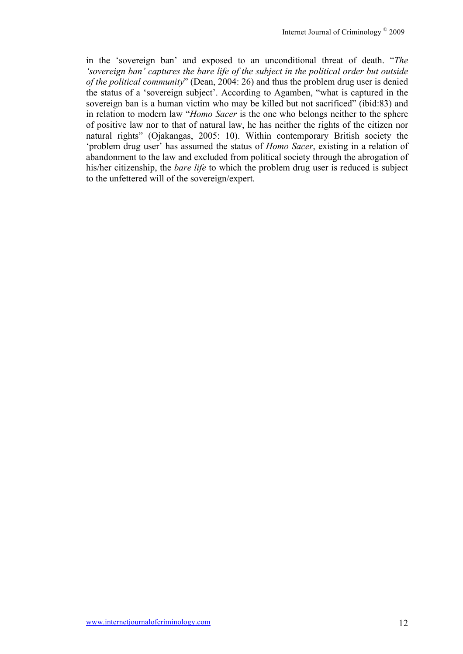in the 'sovereign ban' and exposed to an unconditional threat of death. "*The 'sovereign ban' captures the bare life of the subject in the political order but outside of the political community*" (Dean, 2004: 26) and thus the problem drug user is denied the status of a 'sovereign subject'. According to Agamben, "what is captured in the sovereign ban is a human victim who may be killed but not sacrificed" (ibid:83) and in relation to modern law "*Homo Sacer* is the one who belongs neither to the sphere of positive law nor to that of natural law, he has neither the rights of the citizen nor natural rights" (Ojakangas, 2005: 10). Within contemporary British society the 'problem drug user' has assumed the status of *Homo Sacer*, existing in a relation of abandonment to the law and excluded from political society through the abrogation of his/her citizenship, the *bare life* to which the problem drug user is reduced is subject to the unfettered will of the sovereign/expert.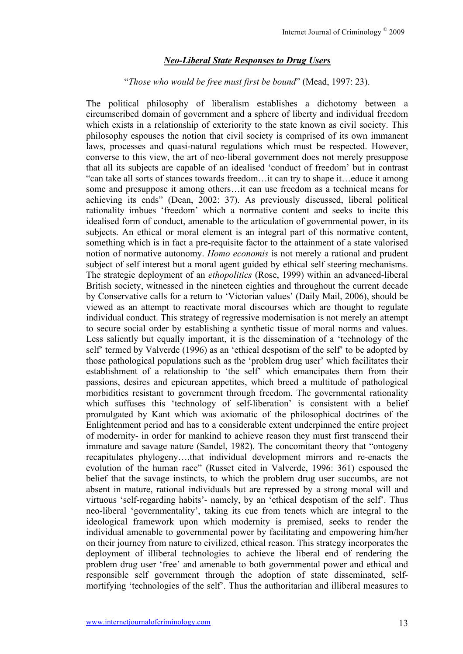#### *Neo-Liberal State Responses to Drug Users*

#### "*Those who would be free must first be bound*" (Mead, 1997: 23).

The political philosophy of liberalism establishes a dichotomy between a circumscribed domain of government and a sphere of liberty and individual freedom which exists in a relationship of exteriority to the state known as civil society. This philosophy espouses the notion that civil society is comprised of its own immanent laws, processes and quasi-natural regulations which must be respected. However, converse to this view, the art of neo-liberal government does not merely presuppose that all its subjects are capable of an idealised 'conduct of freedom' but in contrast "can take all sorts of stances towards freedom…it can try to shape it…educe it among some and presuppose it among others…it can use freedom as a technical means for achieving its ends" (Dean, 2002: 37). As previously discussed, liberal political rationality imbues 'freedom' which a normative content and seeks to incite this idealised form of conduct, amenable to the articulation of governmental power, in its subjects. An ethical or moral element is an integral part of this normative content, something which is in fact a pre-requisite factor to the attainment of a state valorised notion of normative autonomy. *Homo economis* is not merely a rational and prudent subject of self interest but a moral agent guided by ethical self steering mechanisms. The strategic deployment of an *ethopolitics* (Rose, 1999) within an advanced-liberal British society, witnessed in the nineteen eighties and throughout the current decade by Conservative calls for a return to 'Victorian values' (Daily Mail, 2006), should be viewed as an attempt to reactivate moral discourses which are thought to regulate individual conduct. This strategy of regressive modernisation is not merely an attempt to secure social order by establishing a synthetic tissue of moral norms and values. Less saliently but equally important, it is the dissemination of a 'technology of the self' termed by Valverde (1996) as an 'ethical despotism of the self' to be adopted by those pathological populations such as the 'problem drug user' which facilitates their establishment of a relationship to 'the self' which emancipates them from their passions, desires and epicurean appetites, which breed a multitude of pathological morbidities resistant to government through freedom. The governmental rationality which suffuses this 'technology of self-liberation' is consistent with a belief promulgated by Kant which was axiomatic of the philosophical doctrines of the Enlightenment period and has to a considerable extent underpinned the entire project of modernity- in order for mankind to achieve reason they must first transcend their immature and savage nature (Sandel, 1982). The concomitant theory that "ontogeny recapitulates phylogeny….that individual development mirrors and re-enacts the evolution of the human race" (Russet cited in Valverde, 1996: 361) espoused the belief that the savage instincts, to which the problem drug user succumbs, are not absent in mature, rational individuals but are repressed by a strong moral will and virtuous 'self-regarding habits'- namely, by an 'ethical despotism of the self'. Thus neo-liberal 'governmentality', taking its cue from tenets which are integral to the ideological framework upon which modernity is premised, seeks to render the individual amenable to governmental power by facilitating and empowering him/her on their journey from nature to civilized, ethical reason. This strategy incorporates the deployment of illiberal technologies to achieve the liberal end of rendering the problem drug user 'free' and amenable to both governmental power and ethical and responsible self government through the adoption of state disseminated, selfmortifying 'technologies of the self'. Thus the authoritarian and illiberal measures to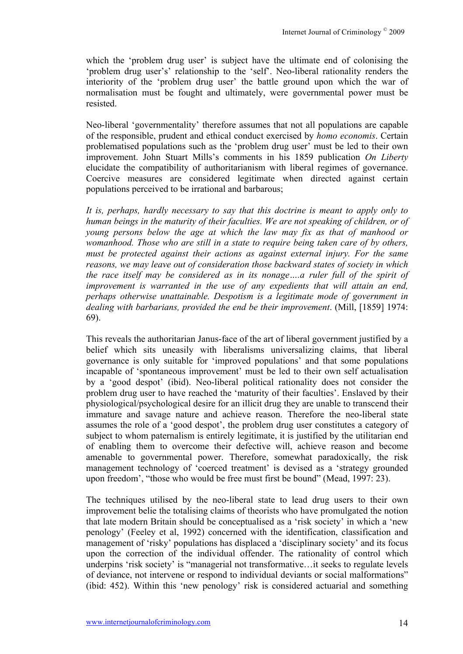which the 'problem drug user' is subject have the ultimate end of colonising the 'problem drug user's' relationship to the 'self'. Neo-liberal rationality renders the interiority of the 'problem drug user' the battle ground upon which the war of normalisation must be fought and ultimately, were governmental power must be resisted.

Neo-liberal 'governmentality' therefore assumes that not all populations are capable of the responsible, prudent and ethical conduct exercised by *homo economis*. Certain problematised populations such as the 'problem drug user' must be led to their own improvement. John Stuart Mills's comments in his 1859 publication *On Liberty* elucidate the compatibility of authoritarianism with liberal regimes of governance. Coercive measures are considered legitimate when directed against certain populations perceived to be irrational and barbarous;

*It is, perhaps, hardly necessary to say that this doctrine is meant to apply only to human beings in the maturity of their faculties. We are not speaking of children, or of young persons below the age at which the law may fix as that of manhood or womanhood. Those who are still in a state to require being taken care of by others, must be protected against their actions as against external injury. For the same reasons, we may leave out of consideration those backward states of society in which the race itself may be considered as in its nonage….a ruler full of the spirit of improvement is warranted in the use of any expedients that will attain an end, perhaps otherwise unattainable. Despotism is a legitimate mode of government in dealing with barbarians, provided the end be their improvement*. (Mill, [1859] 1974: 69).

This reveals the authoritarian Janus-face of the art of liberal government justified by a belief which sits uneasily with liberalisms universalizing claims, that liberal governance is only suitable for 'improved populations' and that some populations incapable of 'spontaneous improvement' must be led to their own self actualisation by a 'good despot' (ibid). Neo-liberal political rationality does not consider the problem drug user to have reached the 'maturity of their faculties'. Enslaved by their physiological/psychological desire for an illicit drug they are unable to transcend their immature and savage nature and achieve reason. Therefore the neo-liberal state assumes the role of a 'good despot', the problem drug user constitutes a category of subject to whom paternalism is entirely legitimate, it is justified by the utilitarian end of enabling them to overcome their defective will, achieve reason and become amenable to governmental power. Therefore, somewhat paradoxically, the risk management technology of 'coerced treatment' is devised as a 'strategy grounded upon freedom', "those who would be free must first be bound" (Mead, 1997: 23).

The techniques utilised by the neo-liberal state to lead drug users to their own improvement belie the totalising claims of theorists who have promulgated the notion that late modern Britain should be conceptualised as a 'risk society' in which a 'new penology' (Feeley et al, 1992) concerned with the identification, classification and management of 'risky' populations has displaced a 'disciplinary society' and its focus upon the correction of the individual offender. The rationality of control which underpins 'risk society' is "managerial not transformative…it seeks to regulate levels of deviance, not intervene or respond to individual deviants or social malformations" (ibid: 452). Within this 'new penology' risk is considered actuarial and something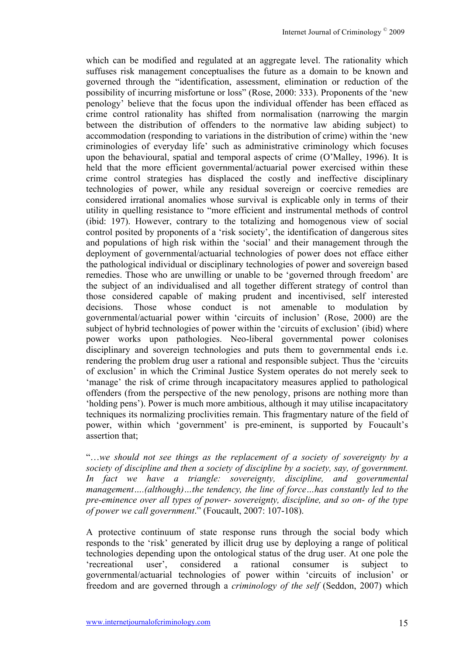which can be modified and regulated at an aggregate level. The rationality which suffuses risk management conceptualises the future as a domain to be known and governed through the "identification, assessment, elimination or reduction of the possibility of incurring misfortune or loss" (Rose, 2000: 333). Proponents of the 'new penology' believe that the focus upon the individual offender has been effaced as crime control rationality has shifted from normalisation (narrowing the margin between the distribution of offenders to the normative law abiding subject) to accommodation (responding to variations in the distribution of crime) within the 'new criminologies of everyday life' such as administrative criminology which focuses upon the behavioural, spatial and temporal aspects of crime (O'Malley, 1996). It is held that the more efficient governmental/actuarial power exercised within these crime control strategies has displaced the costly and ineffective disciplinary technologies of power, while any residual sovereign or coercive remedies are considered irrational anomalies whose survival is explicable only in terms of their utility in quelling resistance to "more efficient and instrumental methods of control (ibid: 197). However, contrary to the totalizing and homogenous view of social control posited by proponents of a 'risk society', the identification of dangerous sites and populations of high risk within the 'social' and their management through the deployment of governmental/actuarial technologies of power does not efface either the pathological individual or disciplinary technologies of power and sovereign based remedies. Those who are unwilling or unable to be 'governed through freedom' are the subject of an individualised and all together different strategy of control than those considered capable of making prudent and incentivised, self interested decisions. Those whose conduct is not amenable to modulation by governmental/actuarial power within 'circuits of inclusion' (Rose, 2000) are the subject of hybrid technologies of power within the 'circuits of exclusion' (ibid) where power works upon pathologies. Neo-liberal governmental power colonises disciplinary and sovereign technologies and puts them to governmental ends i.e. rendering the problem drug user a rational and responsible subject. Thus the 'circuits of exclusion' in which the Criminal Justice System operates do not merely seek to 'manage' the risk of crime through incapacitatory measures applied to pathological offenders (from the perspective of the new penology, prisons are nothing more than 'holding pens'). Power is much more ambitious, although it may utilise incapacitatory techniques its normalizing proclivities remain. This fragmentary nature of the field of power, within which 'government' is pre-eminent, is supported by Foucault's assertion that;

"…*we should not see things as the replacement of a society of sovereignty by a society of discipline and then a society of discipline by a society, say, of government. In fact we have a triangle: sovereignty, discipline, and governmental management….(although)…the tendency, the line of force…has constantly led to the pre-eminence over all types of power- sovereignty, discipline, and so on- of the type of power we call government*." (Foucault, 2007: 107-108).

A protective continuum of state response runs through the social body which responds to the 'risk' generated by illicit drug use by deploying a range of political technologies depending upon the ontological status of the drug user. At one pole the 'recreational user', considered a rational consumer is subject to governmental/actuarial technologies of power within 'circuits of inclusion' or freedom and are governed through a *criminology of the self* (Seddon, 2007) which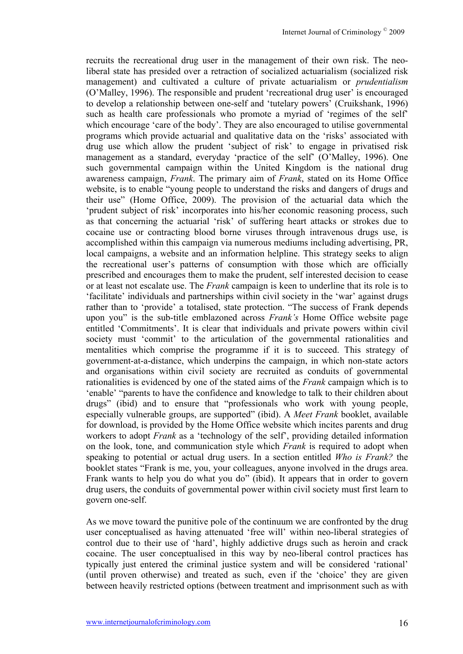recruits the recreational drug user in the management of their own risk. The neoliberal state has presided over a retraction of socialized actuarialism (socialized risk management) and cultivated a culture of private actuarialism or *prudentialism* (O'Malley, 1996). The responsible and prudent 'recreational drug user' is encouraged to develop a relationship between one-self and 'tutelary powers' (Cruikshank, 1996) such as health care professionals who promote a myriad of 'regimes of the self' which encourage 'care of the body'. They are also encouraged to utilise governmental programs which provide actuarial and qualitative data on the 'risks' associated with drug use which allow the prudent 'subject of risk' to engage in privatised risk management as a standard, everyday 'practice of the self' (O'Malley, 1996). One such governmental campaign within the United Kingdom is the national drug awareness campaign, *Frank*. The primary aim of *Frank*, stated on its Home Office website, is to enable "young people to understand the risks and dangers of drugs and their use" (Home Office, 2009). The provision of the actuarial data which the 'prudent subject of risk' incorporates into his/her economic reasoning process, such as that concerning the actuarial 'risk' of suffering heart attacks or strokes due to cocaine use or contracting blood borne viruses through intravenous drugs use, is accomplished within this campaign via numerous mediums including advertising, PR, local campaigns, a website and an information helpline. This strategy seeks to align the recreational user's patterns of consumption with those which are officially prescribed and encourages them to make the prudent, self interested decision to cease or at least not escalate use. The *Frank* campaign is keen to underline that its role is to 'facilitate' individuals and partnerships within civil society in the 'war' against drugs rather than to 'provide' a totalised, state protection. "The success of Frank depends upon you" is the sub-title emblazoned across *Frank's* Home Office website page entitled 'Commitments'. It is clear that individuals and private powers within civil society must 'commit' to the articulation of the governmental rationalities and mentalities which comprise the programme if it is to succeed. This strategy of government-at-a-distance, which underpins the campaign, in which non-state actors and organisations within civil society are recruited as conduits of governmental rationalities is evidenced by one of the stated aims of the *Frank* campaign which is to 'enable' "parents to have the confidence and knowledge to talk to their children about drugs" (ibid) and to ensure that "professionals who work with young people, especially vulnerable groups, are supported" (ibid). A *Meet Frank* booklet, available for download, is provided by the Home Office website which incites parents and drug workers to adopt *Frank* as a 'technology of the self', providing detailed information on the look, tone, and communication style which *Frank* is required to adopt when speaking to potential or actual drug users. In a section entitled *Who is Frank?* the booklet states "Frank is me, you, your colleagues, anyone involved in the drugs area. Frank wants to help you do what you do" (ibid). It appears that in order to govern drug users, the conduits of governmental power within civil society must first learn to govern one-self.

As we move toward the punitive pole of the continuum we are confronted by the drug user conceptualised as having attenuated 'free will' within neo-liberal strategies of control due to their use of 'hard', highly addictive drugs such as heroin and crack cocaine. The user conceptualised in this way by neo-liberal control practices has typically just entered the criminal justice system and will be considered 'rational' (until proven otherwise) and treated as such, even if the 'choice' they are given between heavily restricted options (between treatment and imprisonment such as with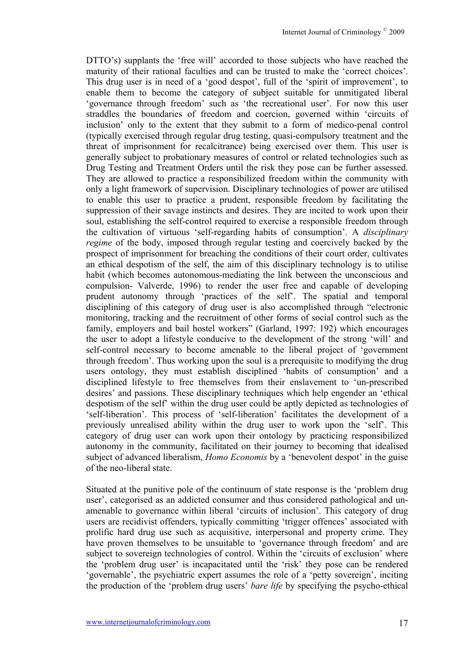DTTO's) supplants the 'free will' accorded to those subjects who have reached the maturity of their rational faculties and can be trusted to make the 'correct choices'. This drug user is in need of a 'good despot', full of the 'spirit of improvement', to enable them to become the category of subject suitable for unmitigated liberal 'governance through freedom' such as 'the recreational user'. For now this user straddles the boundaries of freedom and coercion, governed within 'circuits of inclusion' only to the extent that they submit to a form of medico-penal control (typically exercised through regular drug testing, quasi-compulsory treatment and the threat of imprisonment for recalcitrance) being exercised over them. This user is generally subject to probationary measures of control or related technologies such as Drug Testing and Treatment Orders until the risk they pose can be further assessed. They are allowed to practice a responsibilized freedom within the community with only a light framework of supervision. Disciplinary technologies of power are utilised to enable this user to practice a prudent, responsible freedom by facilitating the suppression of their savage instincts and desires. They are incited to work upon their soul, establishing the self-control required to exercise a responsible freedom through the cultivation of virtuous 'self-regarding habits of consumption'. A *disciplinary regime* of the body, imposed through regular testing and coercively backed by the prospect of imprisonment for breaching the conditions of their court order, cultivates an ethical despotism of the self, the aim of this disciplinary technology is to utilise habit (which becomes autonomous-mediating the link between the unconscious and compulsion- Valverde, 1996) to render the user free and capable of developing prudent autonomy through 'practices of the self'. The spatial and temporal disciplining of this category of drug user is also accomplished through "electronic monitoring, tracking and the recruitment of other forms of social control such as the family, employers and bail hostel workers" (Garland, 1997: 192) which encourages the user to adopt a lifestyle conducive to the development of the strong 'will' and self-control necessary to become amenable to the liberal project of 'government through freedom'. Thus working upon the soul is a prerequisite to modifying the drug users ontology, they must establish disciplined 'habits of consumption' and a disciplined lifestyle to free themselves from their enslavement to 'un-prescribed desires' and passions. These disciplinary techniques which help engender an 'ethical despotism of the self' within the drug user could be aptly depicted as technologies of 'self-liberation'. This process of 'self-liberation' facilitates the development of a previously unrealised ability within the drug user to work upon the 'self'. This category of drug user can work upon their ontology by practicing responsibilized autonomy in the community, facilitated on their journey to becoming that idealised subject of advanced liberalism, *Homo Economis* by a 'benevolent despot' in the guise of the neo-liberal state.

Situated at the punitive pole of the continuum of state response is the 'problem drug user', categorised as an addicted consumer and thus considered pathological and unamenable to governance within liberal 'circuits of inclusion'. This category of drug users are recidivist offenders, typically committing 'trigger offences' associated with prolific hard drug use such as acquisitive, interpersonal and property crime. They have proven themselves to be unsuitable to 'governance through freedom' and are subject to sovereign technologies of control. Within the 'circuits of exclusion' where the 'problem drug user' is incapacitated until the 'risk' they pose can be rendered 'governable', the psychiatric expert assumes the role of a 'petty sovereign', inciting the production of the 'problem drug users' *bare life* by specifying the psycho-ethical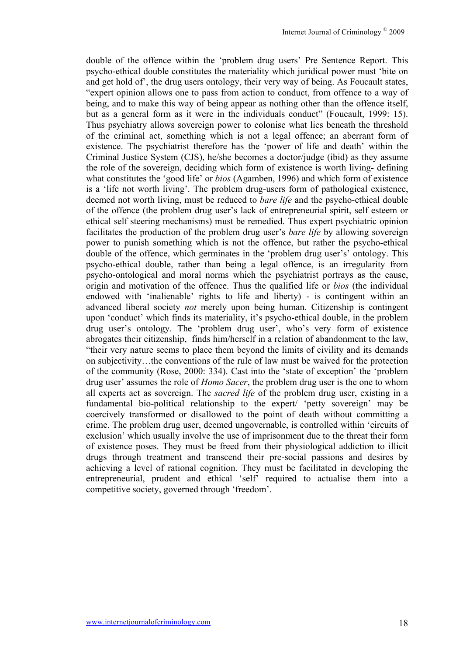double of the offence within the 'problem drug users' Pre Sentence Report. This psycho-ethical double constitutes the materiality which juridical power must 'bite on and get hold of', the drug users ontology, their very way of being. As Foucault states, "expert opinion allows one to pass from action to conduct, from offence to a way of being, and to make this way of being appear as nothing other than the offence itself, but as a general form as it were in the individuals conduct" (Foucault, 1999: 15). Thus psychiatry allows sovereign power to colonise what lies beneath the threshold of the criminal act, something which is not a legal offence; an aberrant form of existence. The psychiatrist therefore has the 'power of life and death' within the Criminal Justice System (CJS), he/she becomes a doctor/judge (ibid) as they assume the role of the sovereign, deciding which form of existence is worth living- defining what constitutes the 'good life' or *bios* (Agamben, 1996) and which form of existence is a 'life not worth living'. The problem drug-users form of pathological existence, deemed not worth living, must be reduced to *bare life* and the psycho-ethical double of the offence (the problem drug user's lack of entrepreneurial spirit, self esteem or ethical self steering mechanisms) must be remedied. Thus expert psychiatric opinion facilitates the production of the problem drug user's *bare life* by allowing sovereign power to punish something which is not the offence, but rather the psycho-ethical double of the offence, which germinates in the 'problem drug user's' ontology. This psycho-ethical double, rather than being a legal offence, is an irregularity from psycho-ontological and moral norms which the psychiatrist portrays as the cause, origin and motivation of the offence. Thus the qualified life or *bios* (the individual endowed with 'inalienable' rights to life and liberty) - is contingent within an advanced liberal society *not* merely upon being human. Citizenship is contingent upon 'conduct' which finds its materiality, it's psycho-ethical double, in the problem drug user's ontology. The 'problem drug user', who's very form of existence abrogates their citizenship, finds him/herself in a relation of abandonment to the law, "their very nature seems to place them beyond the limits of civility and its demands on subjectivity…the conventions of the rule of law must be waived for the protection of the community (Rose, 2000: 334). Cast into the 'state of exception' the 'problem drug user' assumes the role of *Homo Sacer*, the problem drug user is the one to whom all experts act as sovereign. The *sacred life* of the problem drug user, existing in a fundamental bio-political relationship to the expert/ 'petty sovereign' may be coercively transformed or disallowed to the point of death without committing a crime. The problem drug user, deemed ungovernable, is controlled within 'circuits of exclusion' which usually involve the use of imprisonment due to the threat their form of existence poses. They must be freed from their physiological addiction to illicit drugs through treatment and transcend their pre-social passions and desires by achieving a level of rational cognition. They must be facilitated in developing the entrepreneurial, prudent and ethical 'self' required to actualise them into a competitive society, governed through 'freedom'.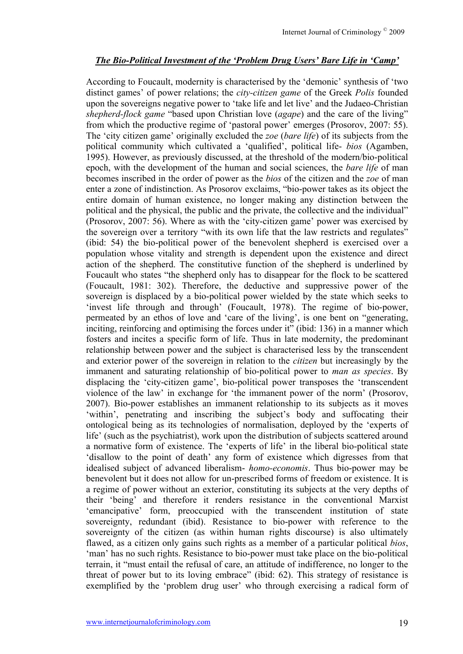#### *The Bio-Political Investment of the 'Problem Drug Users' Bare Life in 'Camp'*

According to Foucault, modernity is characterised by the 'demonic' synthesis of 'two distinct games' of power relations; the *city-citizen game* of the Greek *Polis* founded upon the sovereigns negative power to 'take life and let live' and the Judaeo-Christian *shepherd-flock game* "based upon Christian love (*agape*) and the care of the living" from which the productive regime of 'pastoral power' emerges (Prosorov, 2007: 55). The 'city citizen game' originally excluded the *zoe* (*bare life*) of its subjects from the political community which cultivated a 'qualified', political life- *bios* (Agamben, 1995). However, as previously discussed, at the threshold of the modern/bio-political epoch, with the development of the human and social sciences, the *bare life* of man becomes inscribed in the order of power as the *bios* of the citizen and the *zoe* of man enter a zone of indistinction. As Prosorov exclaims, "bio-power takes as its object the entire domain of human existence, no longer making any distinction between the political and the physical, the public and the private, the collective and the individual" (Prosorov, 2007: 56). Where as with the 'city-citizen game' power was exercised by the sovereign over a territory "with its own life that the law restricts and regulates" (ibid: 54) the bio-political power of the benevolent shepherd is exercised over a population whose vitality and strength is dependent upon the existence and direct action of the shepherd. The constitutive function of the shepherd is underlined by Foucault who states "the shepherd only has to disappear for the flock to be scattered (Foucault, 1981: 302). Therefore, the deductive and suppressive power of the sovereign is displaced by a bio-political power wielded by the state which seeks to 'invest life through and through' (Foucault, 1978). The regime of bio-power, permeated by an ethos of love and 'care of the living', is one bent on "generating, inciting, reinforcing and optimising the forces under it" (ibid: 136) in a manner which fosters and incites a specific form of life. Thus in late modernity, the predominant relationship between power and the subject is characterised less by the transcendent and exterior power of the sovereign in relation to the *citizen* but increasingly by the immanent and saturating relationship of bio-political power to *man as species*. By displacing the 'city-citizen game', bio-political power transposes the 'transcendent violence of the law' in exchange for 'the immanent power of the norm' (Prosorov, 2007). Bio-power establishes an immanent relationship to its subjects as it moves 'within', penetrating and inscribing the subject's body and suffocating their ontological being as its technologies of normalisation, deployed by the 'experts of life' (such as the psychiatrist), work upon the distribution of subjects scattered around a normative form of existence. The 'experts of life' in the liberal bio-political state 'disallow to the point of death' any form of existence which digresses from that idealised subject of advanced liberalism- *homo-economis*. Thus bio-power may be benevolent but it does not allow for un-prescribed forms of freedom or existence. It is a regime of power without an exterior, constituting its subjects at the very depths of their 'being' and therefore it renders resistance in the conventional Marxist 'emancipative' form, preoccupied with the transcendent institution of state sovereignty, redundant (ibid). Resistance to bio-power with reference to the sovereignty of the citizen (as within human rights discourse) is also ultimately flawed, as a citizen only gains such rights as a member of a particular political *bios*, 'man' has no such rights. Resistance to bio-power must take place on the bio-political terrain, it "must entail the refusal of care, an attitude of indifference, no longer to the threat of power but to its loving embrace" (ibid: 62). This strategy of resistance is exemplified by the 'problem drug user' who through exercising a radical form of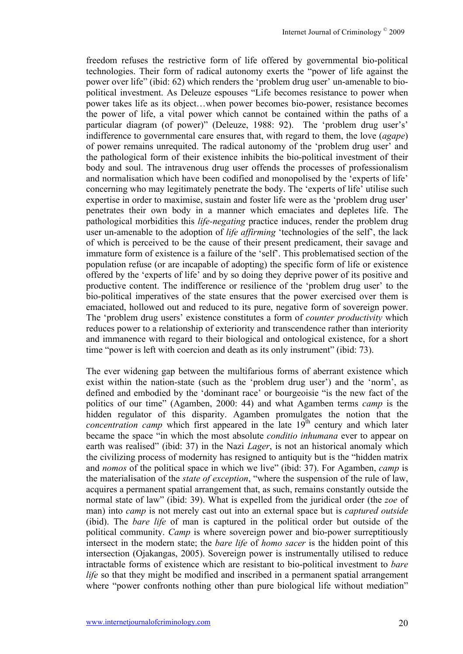freedom refuses the restrictive form of life offered by governmental bio-political technologies. Their form of radical autonomy exerts the "power of life against the power over life" (ibid: 62) which renders the 'problem drug user' un-amenable to biopolitical investment. As Deleuze espouses "Life becomes resistance to power when power takes life as its object…when power becomes bio-power, resistance becomes the power of life, a vital power which cannot be contained within the paths of a particular diagram (of power)" (Deleuze, 1988: 92). The 'problem drug user's' indifference to governmental care ensures that, with regard to them, the love (*agape*) of power remains unrequited. The radical autonomy of the 'problem drug user' and the pathological form of their existence inhibits the bio-political investment of their body and soul. The intravenous drug user offends the processes of professionalism and normalisation which have been codified and monopolised by the 'experts of life' concerning who may legitimately penetrate the body. The 'experts of life' utilise such expertise in order to maximise, sustain and foster life were as the 'problem drug user' penetrates their own body in a manner which emaciates and depletes life. The pathological morbidities this *life-negating* practice induces, render the problem drug user un-amenable to the adoption of *life affirming* 'technologies of the self', the lack of which is perceived to be the cause of their present predicament, their savage and immature form of existence is a failure of the 'self'. This problematised section of the population refuse (or are incapable of adopting) the specific form of life or existence offered by the 'experts of life' and by so doing they deprive power of its positive and productive content. The indifference or resilience of the 'problem drug user' to the bio-political imperatives of the state ensures that the power exercised over them is emaciated, hollowed out and reduced to its pure, negative form of sovereign power. The 'problem drug users' existence constitutes a form of *counter productivity* which reduces power to a relationship of exteriority and transcendence rather than interiority and immanence with regard to their biological and ontological existence, for a short time "power is left with coercion and death as its only instrument" (ibid: 73).

The ever widening gap between the multifarious forms of aberrant existence which exist within the nation-state (such as the 'problem drug user') and the 'norm', as defined and embodied by the 'dominant race' or bourgeoisie "is the new fact of the politics of our time" (Agamben, 2000: 44) and what Agamben terms *camp* is the hidden regulator of this disparity. Agamben promulgates the notion that the *concentration camp* which first appeared in the late 19<sup>th</sup> century and which later became the space "in which the most absolute *conditio inhumana* ever to appear on earth was realised" (ibid: 37) in the Nazi *Lager*, is not an historical anomaly which the civilizing process of modernity has resigned to antiquity but is the "hidden matrix and *nomos* of the political space in which we live" (ibid: 37). For Agamben, *camp* is the materialisation of the *state of exception*, "where the suspension of the rule of law, acquires a permanent spatial arrangement that, as such, remains constantly outside the normal state of law" (ibid: 39). What is expelled from the juridical order (the *zoe* of man) into *camp* is not merely cast out into an external space but is *captured outside* (ibid). The *bare life* of man is captured in the political order but outside of the political community. *Camp* is where sovereign power and bio-power surreptitiously intersect in the modern state; the *bare life* of *homo sacer* is the hidden point of this intersection (Ojakangas, 2005). Sovereign power is instrumentally utilised to reduce intractable forms of existence which are resistant to bio-political investment to *bare life* so that they might be modified and inscribed in a permanent spatial arrangement where "power confronts nothing other than pure biological life without mediation"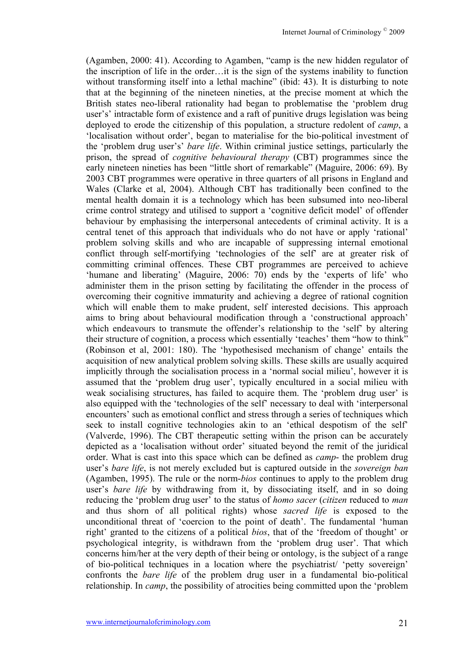(Agamben, 2000: 41). According to Agamben, "camp is the new hidden regulator of the inscription of life in the order…it is the sign of the systems inability to function without transforming itself into a lethal machine" (ibid: 43). It is disturbing to note that at the beginning of the nineteen nineties, at the precise moment at which the British states neo-liberal rationality had began to problematise the 'problem drug user's' intractable form of existence and a raft of punitive drugs legislation was being deployed to erode the citizenship of this population, a structure redolent of *camp*, a 'localisation without order', began to materialise for the bio-political investment of the 'problem drug user's' *bare life*. Within criminal justice settings, particularly the prison, the spread of *cognitive behavioural therapy* (CBT) programmes since the early nineteen nineties has been "little short of remarkable" (Maguire, 2006: 69). By 2003 CBT programmes were operative in three quarters of all prisons in England and Wales (Clarke et al, 2004). Although CBT has traditionally been confined to the mental health domain it is a technology which has been subsumed into neo-liberal crime control strategy and utilised to support a 'cognitive deficit model' of offender behaviour by emphasising the interpersonal antecedents of criminal activity. It is a central tenet of this approach that individuals who do not have or apply 'rational' problem solving skills and who are incapable of suppressing internal emotional conflict through self-mortifying 'technologies of the self' are at greater risk of committing criminal offences. These CBT programmes are perceived to achieve 'humane and liberating' (Maguire, 2006: 70) ends by the 'experts of life' who administer them in the prison setting by facilitating the offender in the process of overcoming their cognitive immaturity and achieving a degree of rational cognition which will enable them to make prudent, self interested decisions. This approach aims to bring about behavioural modification through a 'constructional approach' which endeavours to transmute the offender's relationship to the 'self' by altering their structure of cognition, a process which essentially 'teaches' them "how to think" (Robinson et al, 2001: 180). The 'hypothesised mechanism of change' entails the acquisition of new analytical problem solving skills. These skills are usually acquired implicitly through the socialisation process in a 'normal social milieu', however it is assumed that the 'problem drug user', typically encultured in a social milieu with weak socialising structures, has failed to acquire them. The 'problem drug user' is also equipped with the 'technologies of the self' necessary to deal with 'interpersonal encounters' such as emotional conflict and stress through a series of techniques which seek to install cognitive technologies akin to an 'ethical despotism of the self' (Valverde, 1996). The CBT therapeutic setting within the prison can be accurately depicted as a 'localisation without order' situated beyond the remit of the juridical order. What is cast into this space which can be defined as *camp*- the problem drug user's *bare life*, is not merely excluded but is captured outside in the *sovereign ban* (Agamben, 1995). The rule or the norm-*bios* continues to apply to the problem drug user's *bare life* by withdrawing from it, by dissociating itself, and in so doing reducing the 'problem drug user' to the status of *homo sacer* (*citizen* reduced to *man* and thus shorn of all political rights) whose *sacred life* is exposed to the unconditional threat of 'coercion to the point of death'. The fundamental 'human right' granted to the citizens of a political *bios*, that of the 'freedom of thought' or psychological integrity, is withdrawn from the 'problem drug user'. That which concerns him/her at the very depth of their being or ontology, is the subject of a range of bio-political techniques in a location where the psychiatrist/ 'petty sovereign' confronts the *bare life* of the problem drug user in a fundamental bio-political relationship. In *camp*, the possibility of atrocities being committed upon the 'problem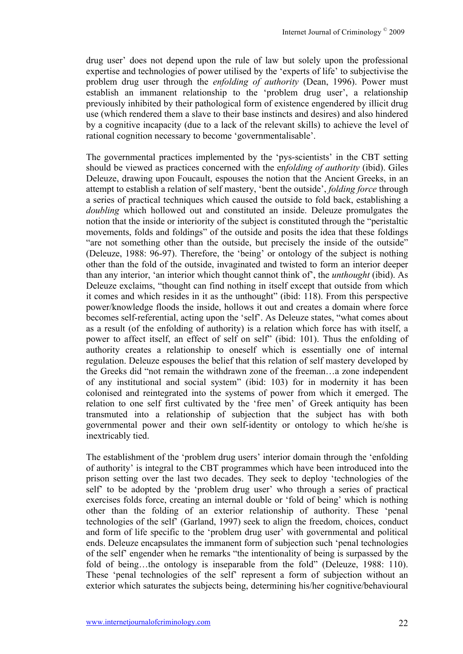drug user' does not depend upon the rule of law but solely upon the professional expertise and technologies of power utilised by the 'experts of life' to subjectivise the problem drug user through the *enfolding of authority* (Dean, 1996). Power must establish an immanent relationship to the 'problem drug user', a relationship previously inhibited by their pathological form of existence engendered by illicit drug use (which rendered them a slave to their base instincts and desires) and also hindered by a cognitive incapacity (due to a lack of the relevant skills) to achieve the level of rational cognition necessary to become 'governmentalisable'.

The governmental practices implemented by the 'pys-scientists' in the CBT setting should be viewed as practices concerned with the en*folding of authority* (ibid). Giles Deleuze, drawing upon Foucault, espouses the notion that the Ancient Greeks, in an attempt to establish a relation of self mastery, 'bent the outside', *folding force* through a series of practical techniques which caused the outside to fold back, establishing a *doubling* which hollowed out and constituted an inside. Deleuze promulgates the notion that the inside or interiority of the subject is constituted through the "peristaltic movements, folds and foldings" of the outside and posits the idea that these foldings "are not something other than the outside, but precisely the inside of the outside" (Deleuze, 1988: 96-97). Therefore, the 'being' or ontology of the subject is nothing other than the fold of the outside, invaginated and twisted to form an interior deeper than any interior, 'an interior which thought cannot think of', the *unthought* (ibid). As Deleuze exclaims, "thought can find nothing in itself except that outside from which it comes and which resides in it as the unthought" (ibid: 118). From this perspective power/knowledge floods the inside, hollows it out and creates a domain where force becomes self-referential, acting upon the 'self'. As Deleuze states, "what comes about as a result (of the enfolding of authority) is a relation which force has with itself, a power to affect itself, an effect of self on self" (ibid: 101). Thus the enfolding of authority creates a relationship to oneself which is essentially one of internal regulation. Deleuze espouses the belief that this relation of self mastery developed by the Greeks did "not remain the withdrawn zone of the freeman…a zone independent of any institutional and social system" (ibid: 103) for in modernity it has been colonised and reintegrated into the systems of power from which it emerged. The relation to one self first cultivated by the 'free men' of Greek antiquity has been transmuted into a relationship of subjection that the subject has with both governmental power and their own self-identity or ontology to which he/she is inextricably tied.

The establishment of the 'problem drug users' interior domain through the 'enfolding of authority' is integral to the CBT programmes which have been introduced into the prison setting over the last two decades. They seek to deploy 'technologies of the self' to be adopted by the 'problem drug user' who through a series of practical exercises folds force, creating an internal double or 'fold of being' which is nothing other than the folding of an exterior relationship of authority. These 'penal technologies of the self' (Garland, 1997) seek to align the freedom, choices, conduct and form of life specific to the 'problem drug user' with governmental and political ends. Deleuze encapsulates the immanent form of subjection such 'penal technologies of the self' engender when he remarks "the intentionality of being is surpassed by the fold of being...the ontology is inseparable from the fold" (Deleuze, 1988: 110). These 'penal technologies of the self' represent a form of subjection without an exterior which saturates the subjects being, determining his/her cognitive/behavioural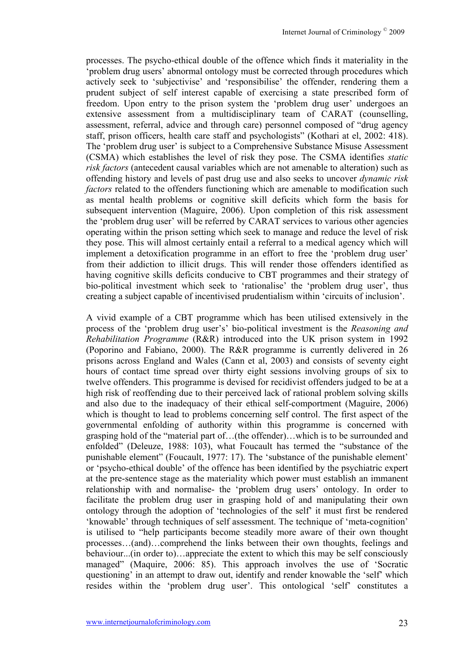processes. The psycho-ethical double of the offence which finds it materiality in the 'problem drug users' abnormal ontology must be corrected through procedures which actively seek to 'subjectivise' and 'responsibilise' the offender, rendering them a prudent subject of self interest capable of exercising a state prescribed form of freedom. Upon entry to the prison system the 'problem drug user' undergoes an extensive assessment from a multidisciplinary team of CARAT (counselling, assessment, referral, advice and through care) personnel composed of "drug agency staff, prison officers, health care staff and psychologists" (Kothari at el, 2002: 418). The 'problem drug user' is subject to a Comprehensive Substance Misuse Assessment (CSMA) which establishes the level of risk they pose. The CSMA identifies *static risk factors* (antecedent causal variables which are not amenable to alteration) such as offending history and levels of past drug use and also seeks to uncover *dynamic risk factors* related to the offenders functioning which are amenable to modification such as mental health problems or cognitive skill deficits which form the basis for subsequent intervention (Maguire, 2006). Upon completion of this risk assessment the 'problem drug user' will be referred by CARAT services to various other agencies operating within the prison setting which seek to manage and reduce the level of risk they pose. This will almost certainly entail a referral to a medical agency which will implement a detoxification programme in an effort to free the 'problem drug user' from their addiction to illicit drugs. This will render those offenders identified as having cognitive skills deficits conducive to CBT programmes and their strategy of bio-political investment which seek to 'rationalise' the 'problem drug user', thus creating a subject capable of incentivised prudentialism within 'circuits of inclusion'.

A vivid example of a CBT programme which has been utilised extensively in the process of the 'problem drug user's' bio-political investment is the *Reasoning and Rehabilitation Programme* (R&R) introduced into the UK prison system in 1992 (Poporino and Fabiano, 2000). The R&R programme is currently delivered in 26 prisons across England and Wales (Cann et al, 2003) and consists of seventy eight hours of contact time spread over thirty eight sessions involving groups of six to twelve offenders. This programme is devised for recidivist offenders judged to be at a high risk of reoffending due to their perceived lack of rational problem solving skills and also due to the inadequacy of their ethical self-comportment (Maguire, 2006) which is thought to lead to problems concerning self control. The first aspect of the governmental enfolding of authority within this programme is concerned with grasping hold of the "material part of…(the offender)…which is to be surrounded and enfolded" (Deleuze, 1988: 103), what Foucault has termed the "substance of the punishable element" (Foucault, 1977: 17). The 'substance of the punishable element' or 'psycho-ethical double' of the offence has been identified by the psychiatric expert at the pre-sentence stage as the materiality which power must establish an immanent relationship with and normalise- the 'problem drug users' ontology. In order to facilitate the problem drug user in grasping hold of and manipulating their own ontology through the adoption of 'technologies of the self' it must first be rendered 'knowable' through techniques of self assessment. The technique of 'meta-cognition' is utilised to "help participants become steadily more aware of their own thought processes…(and)…comprehend the links between their own thoughts, feelings and behaviour...(in order to)…appreciate the extent to which this may be self consciously managed" (Maquire, 2006: 85). This approach involves the use of 'Socratic questioning' in an attempt to draw out, identify and render knowable the 'self' which resides within the 'problem drug user'. This ontological 'self' constitutes a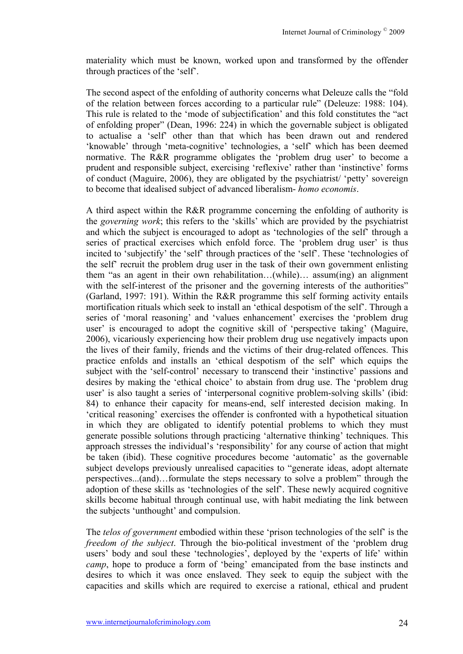materiality which must be known, worked upon and transformed by the offender through practices of the 'self'.

The second aspect of the enfolding of authority concerns what Deleuze calls the "fold of the relation between forces according to a particular rule" (Deleuze: 1988: 104). This rule is related to the 'mode of subjectification' and this fold constitutes the "act of enfolding proper" (Dean, 1996: 224) in which the governable subject is obligated to actualise a 'self' other than that which has been drawn out and rendered 'knowable' through 'meta-cognitive' technologies, a 'self' which has been deemed normative. The R&R programme obligates the 'problem drug user' to become a prudent and responsible subject, exercising 'reflexive' rather than 'instinctive' forms of conduct (Maguire, 2006), they are obligated by the psychiatrist/ 'petty' sovereign to become that idealised subject of advanced liberalism- *homo economis*.

A third aspect within the R&R programme concerning the enfolding of authority is the *governing work*; this refers to the 'skills' which are provided by the psychiatrist and which the subject is encouraged to adopt as 'technologies of the self' through a series of practical exercises which enfold force. The 'problem drug user' is thus incited to 'subjectify' the 'self' through practices of the 'self'. These 'technologies of the self' recruit the problem drug user in the task of their own government enlisting them "as an agent in their own rehabilitation…(while)… assum(ing) an alignment with the self-interest of the prisoner and the governing interests of the authorities" (Garland, 1997: 191). Within the R&R programme this self forming activity entails mortification rituals which seek to install an 'ethical despotism of the self'. Through a series of 'moral reasoning' and 'values enhancement' exercises the 'problem drug user' is encouraged to adopt the cognitive skill of 'perspective taking' (Maguire, 2006), vicariously experiencing how their problem drug use negatively impacts upon the lives of their family, friends and the victims of their drug-related offences. This practice enfolds and installs an 'ethical despotism of the self' which equips the subject with the 'self-control' necessary to transcend their 'instinctive' passions and desires by making the 'ethical choice' to abstain from drug use. The 'problem drug user' is also taught a series of 'interpersonal cognitive problem-solving skills' (ibid: 84) to enhance their capacity for means-end, self interested decision making. In 'critical reasoning' exercises the offender is confronted with a hypothetical situation in which they are obligated to identify potential problems to which they must generate possible solutions through practicing 'alternative thinking' techniques. This approach stresses the individual's 'responsibility' for any course of action that might be taken (ibid). These cognitive procedures become 'automatic' as the governable subject develops previously unrealised capacities to "generate ideas, adopt alternate perspectives...(and)…formulate the steps necessary to solve a problem" through the adoption of these skills as 'technologies of the self'. These newly acquired cognitive skills become habitual through continual use, with habit mediating the link between the subjects 'unthought' and compulsion.

The *telos of government* embodied within these 'prison technologies of the self' is the *freedom of the subject*. Through the bio-political investment of the 'problem drug users' body and soul these 'technologies', deployed by the 'experts of life' within *camp*, hope to produce a form of 'being' emancipated from the base instincts and desires to which it was once enslaved. They seek to equip the subject with the capacities and skills which are required to exercise a rational, ethical and prudent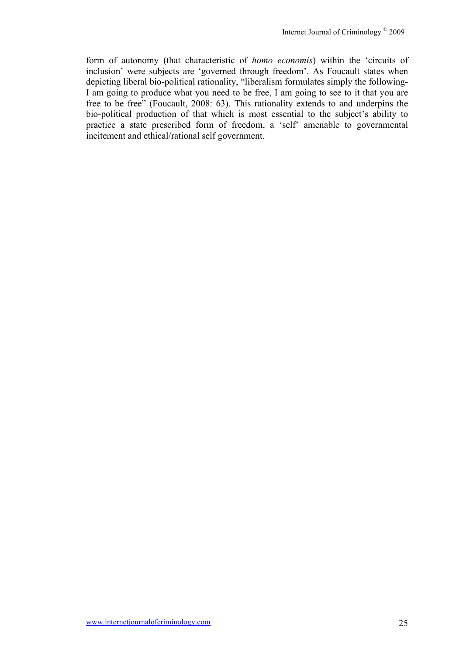form of autonomy (that characteristic of *homo economis*) within the 'circuits of inclusion' were subjects are 'governed through freedom'. As Foucault states when depicting liberal bio-political rationality, "liberalism formulates simply the following-I am going to produce what you need to be free, I am going to see to it that you are free to be free" (Foucault, 2008: 63). This rationality extends to and underpins the bio-political production of that which is most essential to the subject's ability to practice a state prescribed form of freedom, a 'self' amenable to governmental incitement and ethical/rational self government.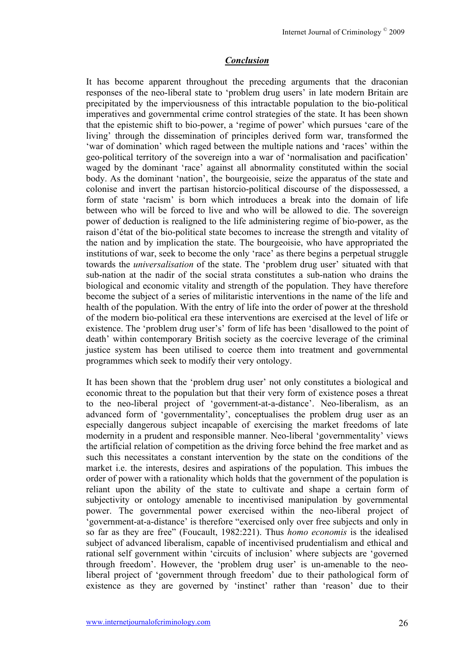## *Conclusion*

It has become apparent throughout the preceding arguments that the draconian responses of the neo-liberal state to 'problem drug users' in late modern Britain are precipitated by the imperviousness of this intractable population to the bio-political imperatives and governmental crime control strategies of the state. It has been shown that the epistemic shift to bio-power, a 'regime of power' which pursues 'care of the living' through the dissemination of principles derived form war, transformed the 'war of domination' which raged between the multiple nations and 'races' within the geo-political territory of the sovereign into a war of 'normalisation and pacification' waged by the dominant 'race' against all abnormality constituted within the social body. As the dominant 'nation', the bourgeoisie, seize the apparatus of the state and colonise and invert the partisan historcio-political discourse of the dispossessed, a form of state 'racism' is born which introduces a break into the domain of life between who will be forced to live and who will be allowed to die. The sovereign power of deduction is realigned to the life administering regime of bio-power, as the raison d'état of the bio-political state becomes to increase the strength and vitality of the nation and by implication the state. The bourgeoisie, who have appropriated the institutions of war, seek to become the only 'race' as there begins a perpetual struggle towards the *universalisation* of the state. The 'problem drug user' situated with that sub-nation at the nadir of the social strata constitutes a sub-nation who drains the biological and economic vitality and strength of the population. They have therefore become the subject of a series of militaristic interventions in the name of the life and health of the population. With the entry of life into the order of power at the threshold of the modern bio-political era these interventions are exercised at the level of life or existence. The 'problem drug user's' form of life has been 'disallowed to the point of death' within contemporary British society as the coercive leverage of the criminal justice system has been utilised to coerce them into treatment and governmental programmes which seek to modify their very ontology.

It has been shown that the 'problem drug user' not only constitutes a biological and economic threat to the population but that their very form of existence poses a threat to the neo-liberal project of 'government-at-a-distance'. Neo-liberalism, as an advanced form of 'governmentality', conceptualises the problem drug user as an especially dangerous subject incapable of exercising the market freedoms of late modernity in a prudent and responsible manner. Neo-liberal 'governmentality' views the artificial relation of competition as the driving force behind the free market and as such this necessitates a constant intervention by the state on the conditions of the market i.e. the interests, desires and aspirations of the population. This imbues the order of power with a rationality which holds that the government of the population is reliant upon the ability of the state to cultivate and shape a certain form of subjectivity or ontology amenable to incentivised manipulation by governmental power. The governmental power exercised within the neo-liberal project of 'government-at-a-distance' is therefore "exercised only over free subjects and only in so far as they are free" (Foucault, 1982:221). Thus *homo economis* is the idealised subject of advanced liberalism, capable of incentivised prudentialism and ethical and rational self government within 'circuits of inclusion' where subjects are 'governed through freedom'. However, the 'problem drug user' is un-amenable to the neoliberal project of 'government through freedom' due to their pathological form of existence as they are governed by 'instinct' rather than 'reason' due to their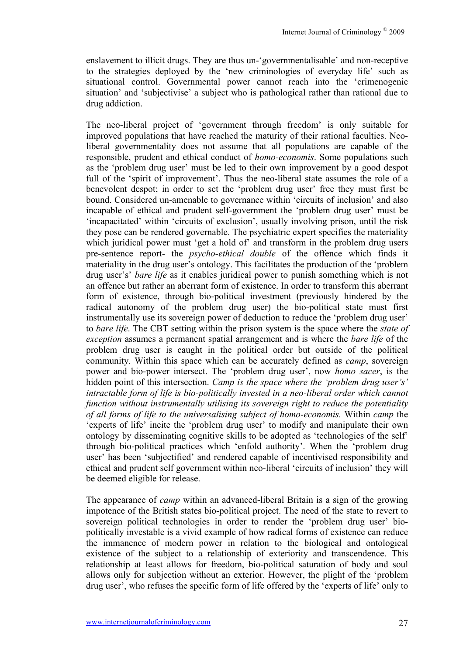enslavement to illicit drugs. They are thus un-'governmentalisable' and non-receptive to the strategies deployed by the 'new criminologies of everyday life' such as situational control. Governmental power cannot reach into the 'crimenogenic situation' and 'subjectivise' a subject who is pathological rather than rational due to drug addiction.

The neo-liberal project of 'government through freedom' is only suitable for improved populations that have reached the maturity of their rational faculties. Neoliberal governmentality does not assume that all populations are capable of the responsible, prudent and ethical conduct of *homo-economis*. Some populations such as the 'problem drug user' must be led to their own improvement by a good despot full of the 'spirit of improvement'. Thus the neo-liberal state assumes the role of a benevolent despot; in order to set the 'problem drug user' free they must first be bound. Considered un-amenable to governance within 'circuits of inclusion' and also incapable of ethical and prudent self-government the 'problem drug user' must be 'incapacitated' within 'circuits of exclusion', usually involving prison, until the risk they pose can be rendered governable. The psychiatric expert specifies the materiality which juridical power must 'get a hold of' and transform in the problem drug users pre-sentence report- the *psycho-ethical double* of the offence which finds it materiality in the drug user's ontology. This facilitates the production of the 'problem drug user's' *bare life* as it enables juridical power to punish something which is not an offence but rather an aberrant form of existence. In order to transform this aberrant form of existence, through bio-political investment (previously hindered by the radical autonomy of the problem drug user) the bio-political state must first instrumentally use its sovereign power of deduction to reduce the 'problem drug user' to *bare life*. The CBT setting within the prison system is the space where the *state of exception* assumes a permanent spatial arrangement and is where the *bare life* of the problem drug user is caught in the political order but outside of the political community. Within this space which can be accurately defined as *camp*, sovereign power and bio-power intersect. The 'problem drug user', now *homo sacer*, is the hidden point of this intersection. *Camp is the space where the 'problem drug user's' intractable form of life is bio-politically invested in a neo-liberal order which cannot function without instrumentally utilising its sovereign right to reduce the potentiality of all forms of life to the universalising subject of homo-economis.* Within *camp* the 'experts of life' incite the 'problem drug user' to modify and manipulate their own ontology by disseminating cognitive skills to be adopted as 'technologies of the self' through bio-political practices which 'enfold authority'. When the 'problem drug user' has been 'subjectified' and rendered capable of incentivised responsibility and ethical and prudent self government within neo-liberal 'circuits of inclusion' they will be deemed eligible for release.

The appearance of *camp* within an advanced-liberal Britain is a sign of the growing impotence of the British states bio-political project. The need of the state to revert to sovereign political technologies in order to render the 'problem drug user' biopolitically investable is a vivid example of how radical forms of existence can reduce the immanence of modern power in relation to the biological and ontological existence of the subject to a relationship of exteriority and transcendence. This relationship at least allows for freedom, bio-political saturation of body and soul allows only for subjection without an exterior. However, the plight of the 'problem drug user', who refuses the specific form of life offered by the 'experts of life' only to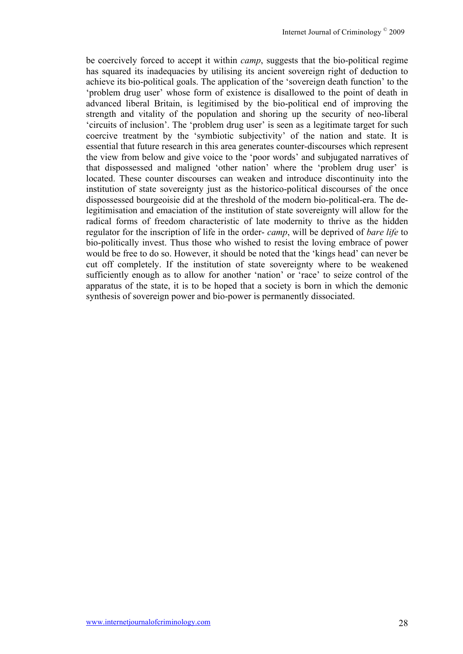be coercively forced to accept it within *camp*, suggests that the bio-political regime has squared its inadequacies by utilising its ancient sovereign right of deduction to achieve its bio-political goals. The application of the 'sovereign death function' to the 'problem drug user' whose form of existence is disallowed to the point of death in advanced liberal Britain, is legitimised by the bio-political end of improving the strength and vitality of the population and shoring up the security of neo-liberal 'circuits of inclusion'. The 'problem drug user' is seen as a legitimate target for such coercive treatment by the 'symbiotic subjectivity' of the nation and state. It is essential that future research in this area generates counter-discourses which represent the view from below and give voice to the 'poor words' and subjugated narratives of that dispossessed and maligned 'other nation' where the 'problem drug user' is located. These counter discourses can weaken and introduce discontinuity into the institution of state sovereignty just as the historico-political discourses of the once dispossessed bourgeoisie did at the threshold of the modern bio-political-era. The delegitimisation and emaciation of the institution of state sovereignty will allow for the radical forms of freedom characteristic of late modernity to thrive as the hidden regulator for the inscription of life in the order- *camp*, will be deprived of *bare life* to bio-politically invest. Thus those who wished to resist the loving embrace of power would be free to do so. However, it should be noted that the 'kings head' can never be cut off completely. If the institution of state sovereignty where to be weakened sufficiently enough as to allow for another 'nation' or 'race' to seize control of the apparatus of the state, it is to be hoped that a society is born in which the demonic synthesis of sovereign power and bio-power is permanently dissociated.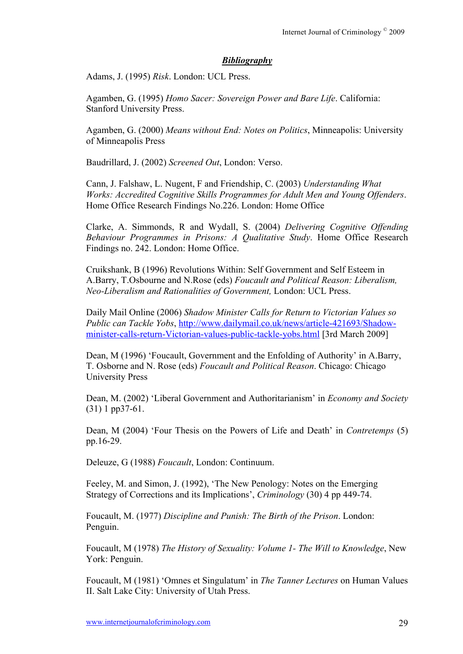#### *Bibliography*

Adams, J. (1995) *Risk*. London: UCL Press.

Agamben, G. (1995) *Homo Sacer: Sovereign Power and Bare Life*. California: Stanford University Press.

Agamben, G. (2000) *Means without End: Notes on Politics*, Minneapolis: University of Minneapolis Press

Baudrillard, J. (2002) *Screened Out*, London: Verso.

Cann, J. Falshaw, L. Nugent, F and Friendship, C. (2003) *Understanding What Works: Accredited Cognitive Skills Programmes for Adult Men and Young Offenders*. Home Office Research Findings No.226. London: Home Office

Clarke, A. Simmonds, R and Wydall, S. (2004) *Delivering Cognitive Offending Behaviour Programmes in Prisons: A Qualitative Study*. Home Office Research Findings no. 242. London: Home Office.

Cruikshank, B (1996) Revolutions Within: Self Government and Self Esteem in A.Barry, T.Osbourne and N.Rose (eds) *Foucault and Political Reason: Liberalism, Neo-Liberalism and Rationalities of Government,* London: UCL Press.

Daily Mail Online (2006) *Shadow Minister Calls for Return to Victorian Values so Public can Tackle Yobs*, http://www.dailymail.co.uk/news/article-421693/Shadowminister-calls-return-Victorian-values-public-tackle-yobs.html [3rd March 2009]

Dean, M (1996) 'Foucault, Government and the Enfolding of Authority' in A.Barry, T. Osborne and N. Rose (eds) *Foucault and Political Reason*. Chicago: Chicago University Press

Dean, M. (2002) 'Liberal Government and Authoritarianism' in *Economy and Society* (31) 1 pp37-61.

Dean, M (2004) 'Four Thesis on the Powers of Life and Death' in *Contretemps* (5) pp.16-29.

Deleuze, G (1988) *Foucault*, London: Continuum.

Feeley, M. and Simon, J. (1992), 'The New Penology: Notes on the Emerging Strategy of Corrections and its Implications', *Criminology* (30) 4 pp 449-74.

Foucault, M. (1977) *Discipline and Punish: The Birth of the Prison*. London: Penguin.

Foucault, M (1978) *The History of Sexuality: Volume 1- The Will to Knowledge*, New York: Penguin.

Foucault, M (1981) 'Omnes et Singulatum' in *The Tanner Lectures* on Human Values II. Salt Lake City: University of Utah Press.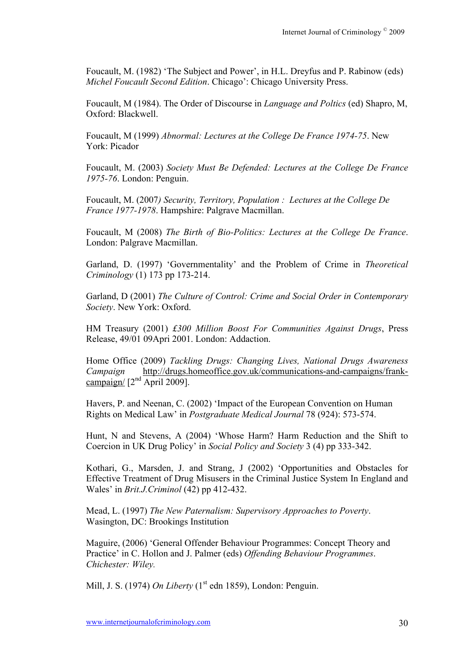Foucault, M. (1982) 'The Subject and Power', in H.L. Dreyfus and P. Rabinow (eds) *Michel Foucault Second Edition*. Chicago': Chicago University Press.

Foucault, M (1984). The Order of Discourse in *Language and Poltics* (ed) Shapro, M, Oxford: Blackwell.

Foucault, M (1999) *Abnormal: Lectures at the College De France 1974-75*. New York: Picador

Foucault, M. (2003) *Society Must Be Defended: Lectures at the College De France 1975-76*. London: Penguin.

Foucault, M. (2007*) Security, Territory, Population : Lectures at the College De France 1977-1978*. Hampshire: Palgrave Macmillan.

Foucault, M (2008) *The Birth of Bio-Politics: Lectures at the College De France*. London: Palgrave Macmillan.

Garland, D. (1997) 'Governmentality' and the Problem of Crime in *Theoretical Criminology* (1) 173 pp 173-214.

Garland, D (2001) *The Culture of Control: Crime and Social Order in Contemporary Society*. New York: Oxford.

HM Treasury (2001) *£300 Million Boost For Communities Against Drugs*, Press Release, 49/01 09Apri 2001. London: Addaction.

Home Office (2009) *Tackling Drugs: Changing Lives, National Drugs Awareness Campaign* http://drugs.homeoffice.gov.uk/communications-and-campaigns/frankcampaign/  $[2^{nd}$  April 2009].

Havers, P. and Neenan, C. (2002) 'Impact of the European Convention on Human Rights on Medical Law' in *Postgraduate Medical Journal* 78 (924): 573-574.

Hunt, N and Stevens, A (2004) 'Whose Harm? Harm Reduction and the Shift to Coercion in UK Drug Policy' in *Social Policy and Society* 3 (4) pp 333-342.

Kothari, G., Marsden, J. and Strang, J (2002) 'Opportunities and Obstacles for Effective Treatment of Drug Misusers in the Criminal Justice System In England and Wales' in *Brit.J.Criminol* (42) pp 412-432.

Mead, L. (1997) *The New Paternalism: Supervisory Approaches to Poverty*. Wasington, DC: Brookings Institution

Maguire, (2006) 'General Offender Behaviour Programmes: Concept Theory and Practice' in C. Hollon and J. Palmer (eds) *Offending Behaviour Programmes*. *Chichester: Wiley.* 

Mill, J. S. (1974) *On Liberty* (1<sup>st</sup> edn 1859), London: Penguin.